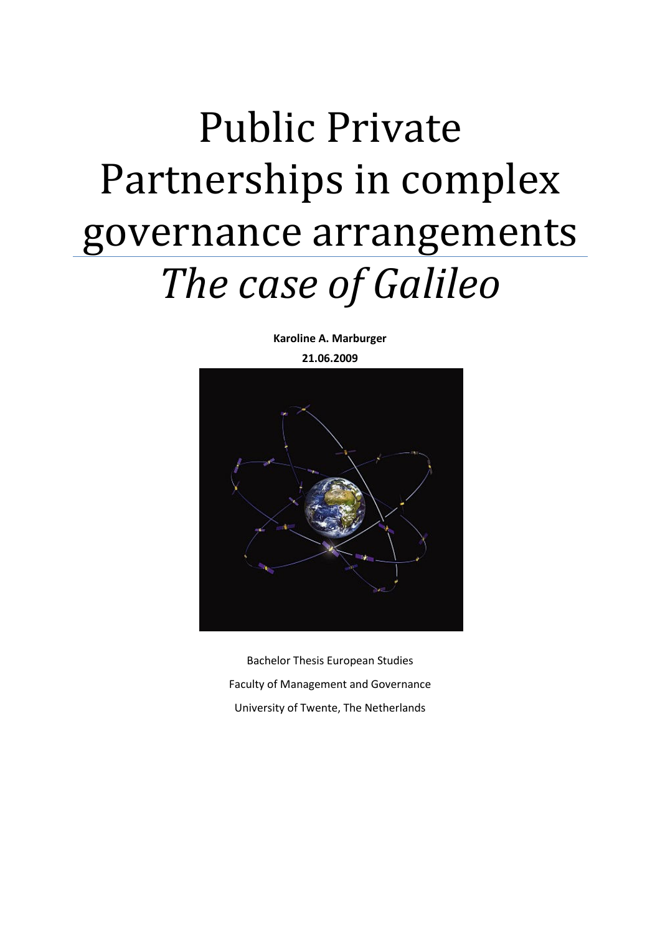# Public Private Partnerships in complex governance arrangements The case of Galileo

Karoline A. Marburger

21.06.2009



Bachelor Thesis European Studies Faculty of Management and Governance University of Twente, The Netherlands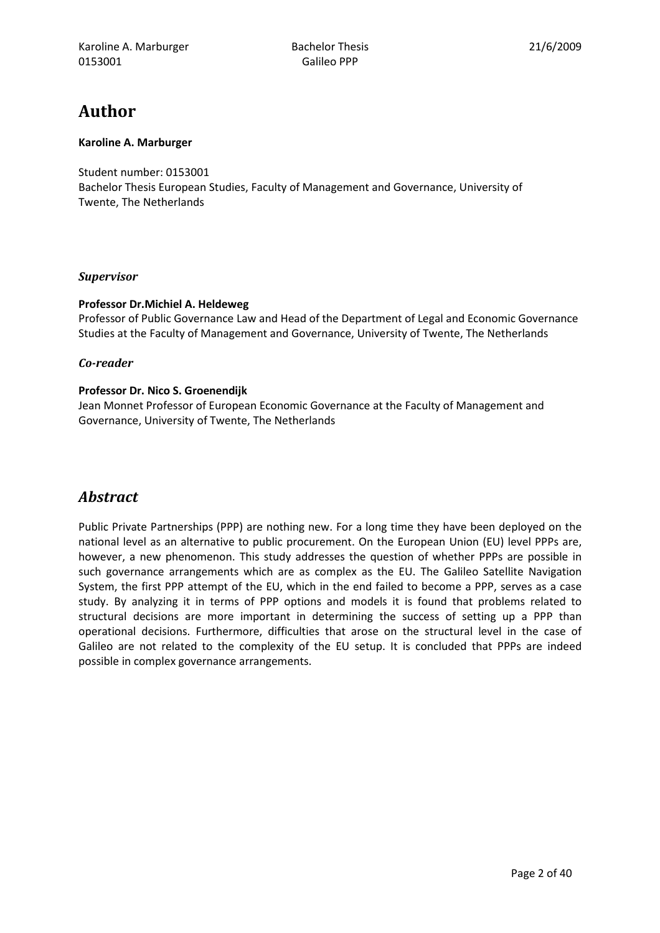# Author

#### Karoline A. Marburger

Student number: 0153001 Bachelor Thesis European Studies, Faculty of Management and Governance, University of Twente, The Netherlands

#### Supervisor

#### Professor Dr.Michiel A. Heldeweg

Professor of Public Governance Law and Head of the Department of Legal and Economic Governance Studies at the Faculty of Management and Governance, University of Twente, The Netherlands

#### Co-reader

#### Professor Dr. Nico S. Groenendijk

Jean Monnet Professor of European Economic Governance at the Faculty of Management and Governance, University of Twente, The Netherlands

# **Abstract**

Public Private Partnerships (PPP) are nothing new. For a long time they have been deployed on the national level as an alternative to public procurement. On the European Union (EU) level PPPs are, however, a new phenomenon. This study addresses the question of whether PPPs are possible in such governance arrangements which are as complex as the EU. The Galileo Satellite Navigation System, the first PPP attempt of the EU, which in the end failed to become a PPP, serves as a case study. By analyzing it in terms of PPP options and models it is found that problems related to structural decisions are more important in determining the success of setting up a PPP than operational decisions. Furthermore, difficulties that arose on the structural level in the case of Galileo are not related to the complexity of the EU setup. It is concluded that PPPs are indeed possible in complex governance arrangements.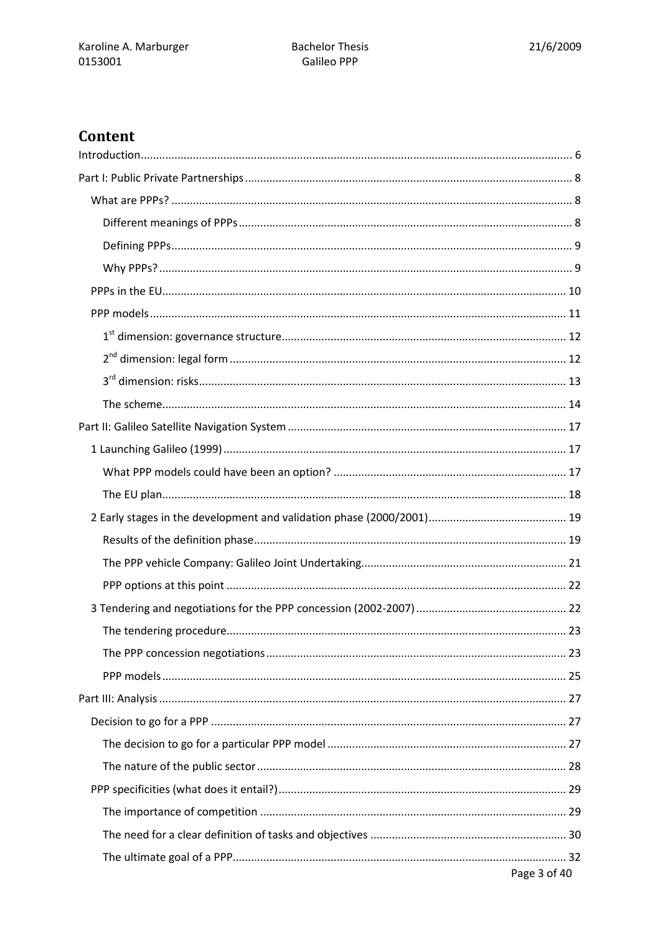# Content

| Page 3 of 40 |  |
|--------------|--|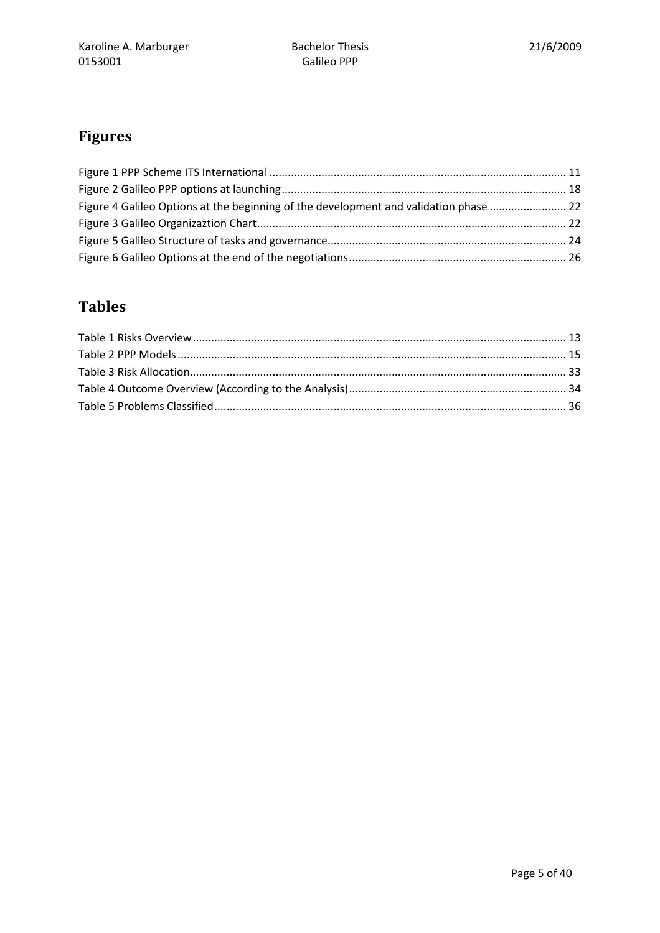# Figures

| Figure 4 Galileo Options at the beginning of the development and validation phase  22 |  |
|---------------------------------------------------------------------------------------|--|
|                                                                                       |  |
|                                                                                       |  |
|                                                                                       |  |

# Tables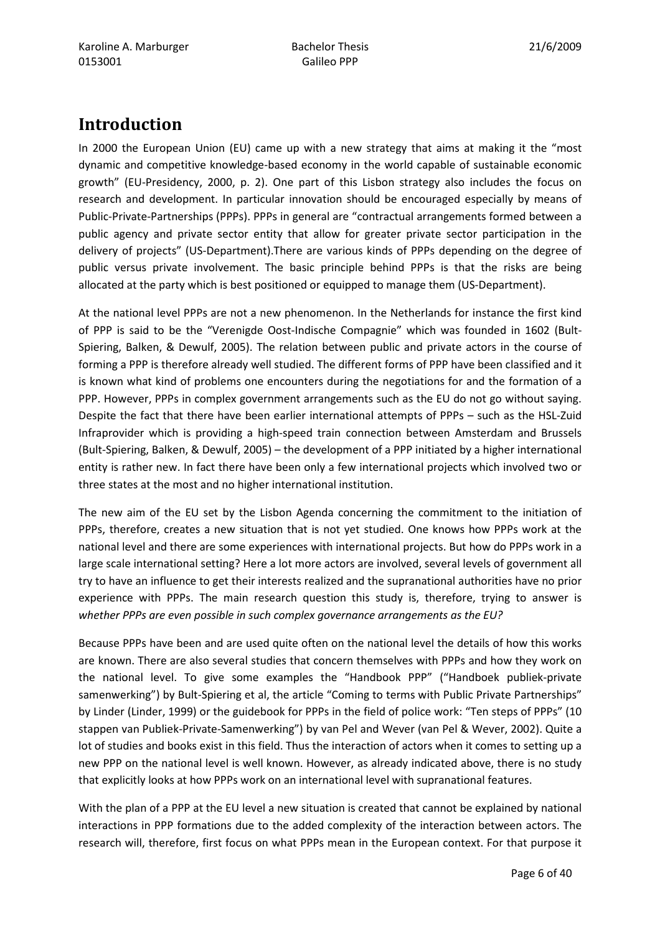# Introduction

In 2000 the European Union (EU) came up with a new strategy that aims at making it the "most dynamic and competitive knowledge-based economy in the world capable of sustainable economic growth" (EU-Presidency, 2000, p. 2). One part of this Lisbon strategy also includes the focus on research and development. In particular innovation should be encouraged especially by means of Public-Private-Partnerships (PPPs). PPPs in general are "contractual arrangements formed between a public agency and private sector entity that allow for greater private sector participation in the delivery of projects" (US-Department).There are various kinds of PPPs depending on the degree of public versus private involvement. The basic principle behind PPPs is that the risks are being allocated at the party which is best positioned or equipped to manage them (US-Department).

At the national level PPPs are not a new phenomenon. In the Netherlands for instance the first kind of PPP is said to be the "Verenigde Oost-Indische Compagnie" which was founded in 1602 (Bult-Spiering, Balken, & Dewulf, 2005). The relation between public and private actors in the course of forming a PPP is therefore already well studied. The different forms of PPP have been classified and it is known what kind of problems one encounters during the negotiations for and the formation of a PPP. However, PPPs in complex government arrangements such as the EU do not go without saying. Despite the fact that there have been earlier international attempts of PPPs – such as the HSL-Zuid Infraprovider which is providing a high-speed train connection between Amsterdam and Brussels (Bult-Spiering, Balken, & Dewulf, 2005) – the development of a PPP initiated by a higher international entity is rather new. In fact there have been only a few international projects which involved two or three states at the most and no higher international institution.

The new aim of the EU set by the Lisbon Agenda concerning the commitment to the initiation of PPPs, therefore, creates a new situation that is not yet studied. One knows how PPPs work at the national level and there are some experiences with international projects. But how do PPPs work in a large scale international setting? Here a lot more actors are involved, several levels of government all try to have an influence to get their interests realized and the supranational authorities have no prior experience with PPPs. The main research question this study is, therefore, trying to answer is whether PPPs are even possible in such complex governance arrangements as the EU?

Because PPPs have been and are used quite often on the national level the details of how this works are known. There are also several studies that concern themselves with PPPs and how they work on the national level. To give some examples the "Handbook PPP" ("Handboek publiek-private samenwerking") by Bult-Spiering et al, the article "Coming to terms with Public Private Partnerships" by Linder (Linder, 1999) or the guidebook for PPPs in the field of police work: "Ten steps of PPPs" (10 stappen van Publiek-Private-Samenwerking") by van Pel and Wever (van Pel & Wever, 2002). Quite a lot of studies and books exist in this field. Thus the interaction of actors when it comes to setting up a new PPP on the national level is well known. However, as already indicated above, there is no study that explicitly looks at how PPPs work on an international level with supranational features.

With the plan of a PPP at the EU level a new situation is created that cannot be explained by national interactions in PPP formations due to the added complexity of the interaction between actors. The research will, therefore, first focus on what PPPs mean in the European context. For that purpose it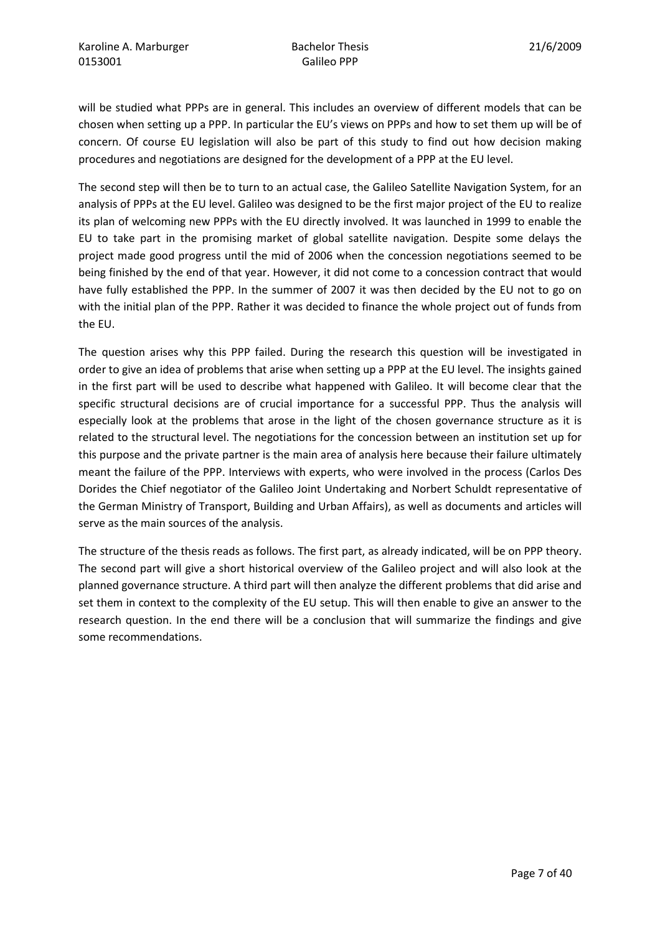will be studied what PPPs are in general. This includes an overview of different models that can be chosen when setting up a PPP. In particular the EU's views on PPPs and how to set them up will be of concern. Of course EU legislation will also be part of this study to find out how decision making procedures and negotiations are designed for the development of a PPP at the EU level.

The second step will then be to turn to an actual case, the Galileo Satellite Navigation System, for an analysis of PPPs at the EU level. Galileo was designed to be the first major project of the EU to realize its plan of welcoming new PPPs with the EU directly involved. It was launched in 1999 to enable the EU to take part in the promising market of global satellite navigation. Despite some delays the project made good progress until the mid of 2006 when the concession negotiations seemed to be being finished by the end of that year. However, it did not come to a concession contract that would have fully established the PPP. In the summer of 2007 it was then decided by the EU not to go on with the initial plan of the PPP. Rather it was decided to finance the whole project out of funds from the EU.

The question arises why this PPP failed. During the research this question will be investigated in order to give an idea of problems that arise when setting up a PPP at the EU level. The insights gained in the first part will be used to describe what happened with Galileo. It will become clear that the specific structural decisions are of crucial importance for a successful PPP. Thus the analysis will especially look at the problems that arose in the light of the chosen governance structure as it is related to the structural level. The negotiations for the concession between an institution set up for this purpose and the private partner is the main area of analysis here because their failure ultimately meant the failure of the PPP. Interviews with experts, who were involved in the process (Carlos Des Dorides the Chief negotiator of the Galileo Joint Undertaking and Norbert Schuldt representative of the German Ministry of Transport, Building and Urban Affairs), as well as documents and articles will serve as the main sources of the analysis.

The structure of the thesis reads as follows. The first part, as already indicated, will be on PPP theory. The second part will give a short historical overview of the Galileo project and will also look at the planned governance structure. A third part will then analyze the different problems that did arise and set them in context to the complexity of the EU setup. This will then enable to give an answer to the research question. In the end there will be a conclusion that will summarize the findings and give some recommendations.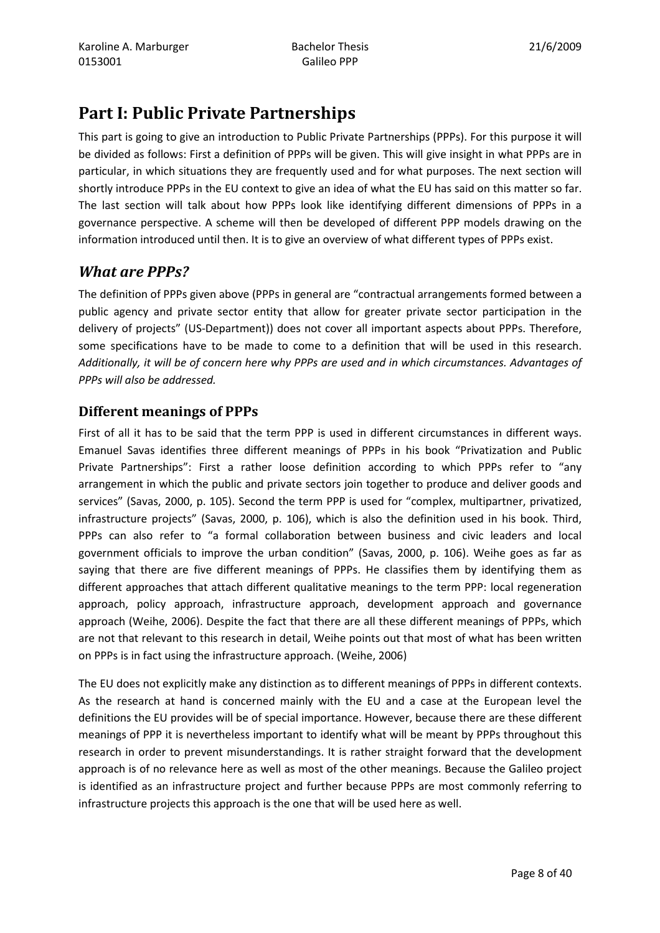# Part I: Public Private Partnerships

This part is going to give an introduction to Public Private Partnerships (PPPs). For this purpose it will be divided as follows: First a definition of PPPs will be given. This will give insight in what PPPs are in particular, in which situations they are frequently used and for what purposes. The next section will shortly introduce PPPs in the EU context to give an idea of what the EU has said on this matter so far. The last section will talk about how PPPs look like identifying different dimensions of PPPs in a governance perspective. A scheme will then be developed of different PPP models drawing on the information introduced until then. It is to give an overview of what different types of PPPs exist.

# What are PPPs?

The definition of PPPs given above (PPPs in general are "contractual arrangements formed between a public agency and private sector entity that allow for greater private sector participation in the delivery of projects" (US-Department)) does not cover all important aspects about PPPs. Therefore, some specifications have to be made to come to a definition that will be used in this research. Additionally, it will be of concern here why PPPs are used and in which circumstances. Advantages of PPPs will also be addressed.

# Different meanings of PPPs

First of all it has to be said that the term PPP is used in different circumstances in different ways. Emanuel Savas identifies three different meanings of PPPs in his book "Privatization and Public Private Partnerships": First a rather loose definition according to which PPPs refer to "any arrangement in which the public and private sectors join together to produce and deliver goods and services" (Savas, 2000, p. 105). Second the term PPP is used for "complex, multipartner, privatized, infrastructure projects" (Savas, 2000, p. 106), which is also the definition used in his book. Third, PPPs can also refer to "a formal collaboration between business and civic leaders and local government officials to improve the urban condition" (Savas, 2000, p. 106). Weihe goes as far as saying that there are five different meanings of PPPs. He classifies them by identifying them as different approaches that attach different qualitative meanings to the term PPP: local regeneration approach, policy approach, infrastructure approach, development approach and governance approach (Weihe, 2006). Despite the fact that there are all these different meanings of PPPs, which are not that relevant to this research in detail, Weihe points out that most of what has been written on PPPs is in fact using the infrastructure approach. (Weihe, 2006)

The EU does not explicitly make any distinction as to different meanings of PPPs in different contexts. As the research at hand is concerned mainly with the EU and a case at the European level the definitions the EU provides will be of special importance. However, because there are these different meanings of PPP it is nevertheless important to identify what will be meant by PPPs throughout this research in order to prevent misunderstandings. It is rather straight forward that the development approach is of no relevance here as well as most of the other meanings. Because the Galileo project is identified as an infrastructure project and further because PPPs are most commonly referring to infrastructure projects this approach is the one that will be used here as well.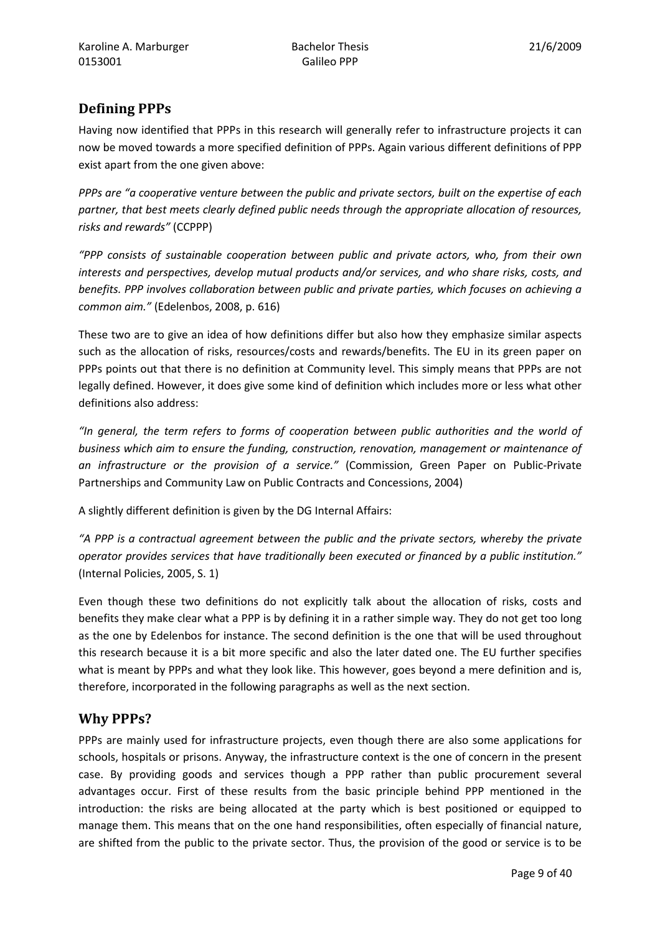# Defining PPPs

Having now identified that PPPs in this research will generally refer to infrastructure projects it can now be moved towards a more specified definition of PPPs. Again various different definitions of PPP exist apart from the one given above:

PPPs are "a cooperative venture between the public and private sectors, built on the expertise of each partner, that best meets clearly defined public needs through the appropriate allocation of resources, risks and rewards" (CCPPP)

"PPP consists of sustainable cooperation between public and private actors, who, from their own interests and perspectives, develop mutual products and/or services, and who share risks, costs, and benefits. PPP involves collaboration between public and private parties, which focuses on achieving a common aim." (Edelenbos, 2008, p. 616)

These two are to give an idea of how definitions differ but also how they emphasize similar aspects such as the allocation of risks, resources/costs and rewards/benefits. The EU in its green paper on PPPs points out that there is no definition at Community level. This simply means that PPPs are not legally defined. However, it does give some kind of definition which includes more or less what other definitions also address:

"In general, the term refers to forms of cooperation between public authorities and the world of business which aim to ensure the funding, construction, renovation, management or maintenance of an infrastructure or the provision of a service." (Commission, Green Paper on Public-Private Partnerships and Community Law on Public Contracts and Concessions, 2004)

A slightly different definition is given by the DG Internal Affairs:

"A PPP is a contractual agreement between the public and the private sectors, whereby the private operator provides services that have traditionally been executed or financed by a public institution." (Internal Policies, 2005, S. 1)

Even though these two definitions do not explicitly talk about the allocation of risks, costs and benefits they make clear what a PPP is by defining it in a rather simple way. They do not get too long as the one by Edelenbos for instance. The second definition is the one that will be used throughout this research because it is a bit more specific and also the later dated one. The EU further specifies what is meant by PPPs and what they look like. This however, goes beyond a mere definition and is, therefore, incorporated in the following paragraphs as well as the next section.

## Why PPPs?

PPPs are mainly used for infrastructure projects, even though there are also some applications for schools, hospitals or prisons. Anyway, the infrastructure context is the one of concern in the present case. By providing goods and services though a PPP rather than public procurement several advantages occur. First of these results from the basic principle behind PPP mentioned in the introduction: the risks are being allocated at the party which is best positioned or equipped to manage them. This means that on the one hand responsibilities, often especially of financial nature, are shifted from the public to the private sector. Thus, the provision of the good or service is to be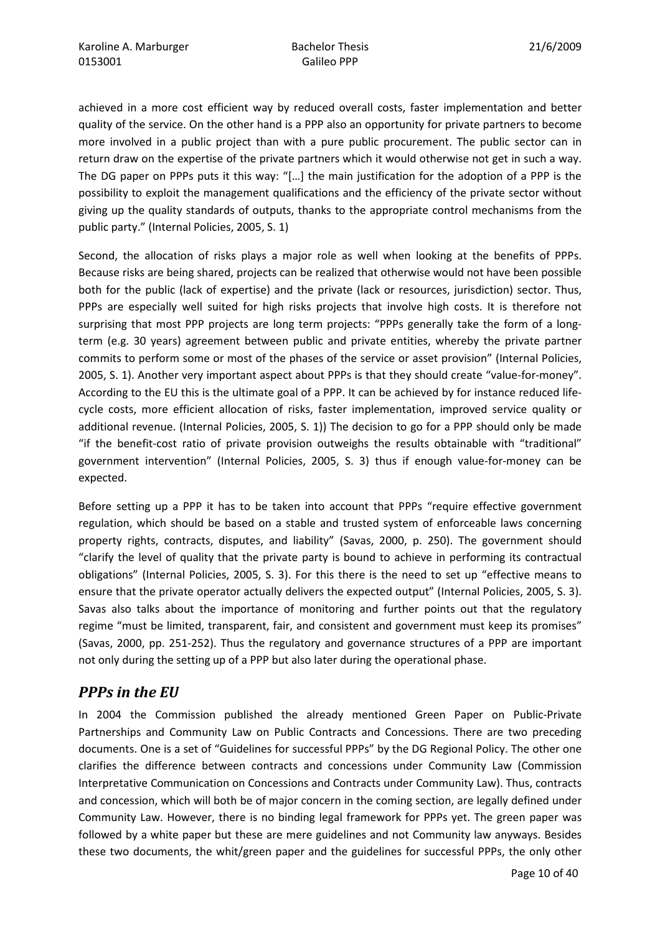achieved in a more cost efficient way by reduced overall costs, faster implementation and better quality of the service. On the other hand is a PPP also an opportunity for private partners to become more involved in a public project than with a pure public procurement. The public sector can in return draw on the expertise of the private partners which it would otherwise not get in such a way. The DG paper on PPPs puts it this way: "[…] the main justification for the adoption of a PPP is the possibility to exploit the management qualifications and the efficiency of the private sector without giving up the quality standards of outputs, thanks to the appropriate control mechanisms from the public party." (Internal Policies, 2005, S. 1)

Second, the allocation of risks plays a major role as well when looking at the benefits of PPPs. Because risks are being shared, projects can be realized that otherwise would not have been possible both for the public (lack of expertise) and the private (lack or resources, jurisdiction) sector. Thus, PPPs are especially well suited for high risks projects that involve high costs. It is therefore not surprising that most PPP projects are long term projects: "PPPs generally take the form of a longterm (e.g. 30 years) agreement between public and private entities, whereby the private partner commits to perform some or most of the phases of the service or asset provision" (Internal Policies, 2005, S. 1). Another very important aspect about PPPs is that they should create "value-for-money". According to the EU this is the ultimate goal of a PPP. It can be achieved by for instance reduced lifecycle costs, more efficient allocation of risks, faster implementation, improved service quality or additional revenue. (Internal Policies, 2005, S. 1)) The decision to go for a PPP should only be made "if the benefit-cost ratio of private provision outweighs the results obtainable with "traditional" government intervention" (Internal Policies, 2005, S. 3) thus if enough value-for-money can be expected.

Before setting up a PPP it has to be taken into account that PPPs "require effective government regulation, which should be based on a stable and trusted system of enforceable laws concerning property rights, contracts, disputes, and liability" (Savas, 2000, p. 250). The government should "clarify the level of quality that the private party is bound to achieve in performing its contractual obligations" (Internal Policies, 2005, S. 3). For this there is the need to set up "effective means to ensure that the private operator actually delivers the expected output" (Internal Policies, 2005, S. 3). Savas also talks about the importance of monitoring and further points out that the regulatory regime "must be limited, transparent, fair, and consistent and government must keep its promises" (Savas, 2000, pp. 251-252). Thus the regulatory and governance structures of a PPP are important not only during the setting up of a PPP but also later during the operational phase.

# PPPs in the EU

In 2004 the Commission published the already mentioned Green Paper on Public-Private Partnerships and Community Law on Public Contracts and Concessions. There are two preceding documents. One is a set of "Guidelines for successful PPPs" by the DG Regional Policy. The other one clarifies the difference between contracts and concessions under Community Law (Commission Interpretative Communication on Concessions and Contracts under Community Law). Thus, contracts and concession, which will both be of major concern in the coming section, are legally defined under Community Law. However, there is no binding legal framework for PPPs yet. The green paper was followed by a white paper but these are mere guidelines and not Community law anyways. Besides these two documents, the whit/green paper and the guidelines for successful PPPs, the only other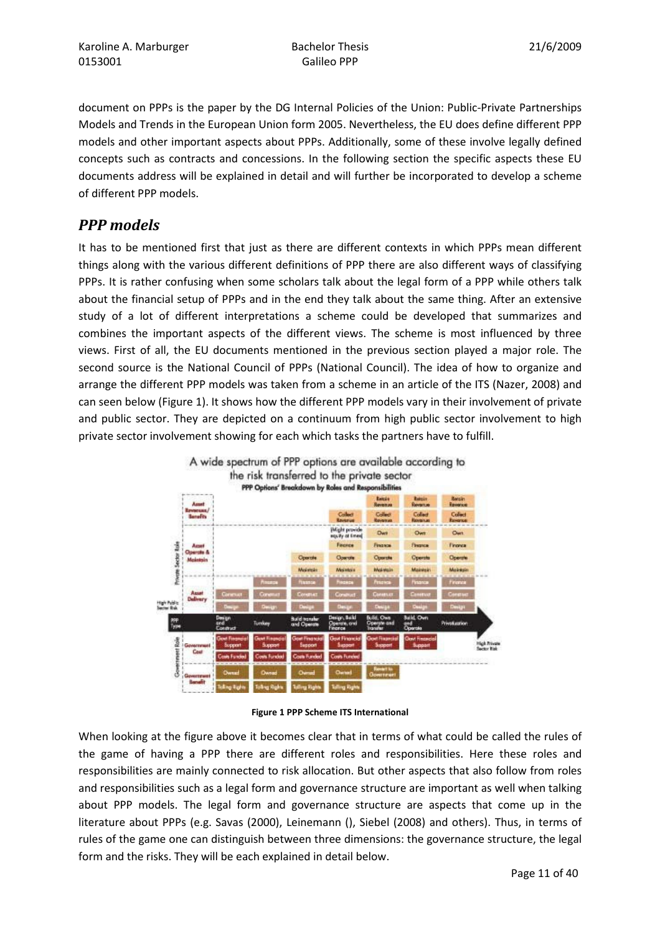document on PPPs is the paper by the DG Internal Policies of the Union: Public-Private Partnerships Models and Trends in the European Union form 2005. Nevertheless, the EU does define different PPP models and other important aspects about PPPs. Additionally, some of these involve legally defined concepts such as contracts and concessions. In the following section the specific aspects these EU documents address will be explained in detail and will further be incorporated to develop a scheme of different PPP models.

# PPP models

It has to be mentioned first that just as there are different contexts in which PPPs mean different things along with the various different definitions of PPP there are also different ways of classifying PPPs. It is rather confusing when some scholars talk about the legal form of a PPP while others talk about the financial setup of PPPs and in the end they talk about the same thing. After an extensive study of a lot of different interpretations a scheme could be developed that summarizes and combines the important aspects of the different views. The scheme is most influenced by three views. First of all, the EU documents mentioned in the previous section played a major role. The second source is the National Council of PPPs (National Council). The idea of how to organize and arrange the different PPP models was taken from a scheme in an article of the ITS (Nazer, 2008) and can seen below (Figure 1). It shows how the different PPP models vary in their involvement of private and public sector. They are depicted on a continuum from high public sector involvement to high private sector involvement showing for each which tasks the partners have to fulfill.





Figure 1 PPP Scheme ITS International

When looking at the figure above it becomes clear that in terms of what could be called the rules of the game of having a PPP there are different roles and responsibilities. Here these roles and responsibilities are mainly connected to risk allocation. But other aspects that also follow from roles and responsibilities such as a legal form and governance structure are important as well when talking about PPP models. The legal form and governance structure are aspects that come up in the literature about PPPs (e.g. Savas (2000), Leinemann (), Siebel (2008) and others). Thus, in terms of rules of the game one can distinguish between three dimensions: the governance structure, the legal form and the risks. They will be each explained in detail below.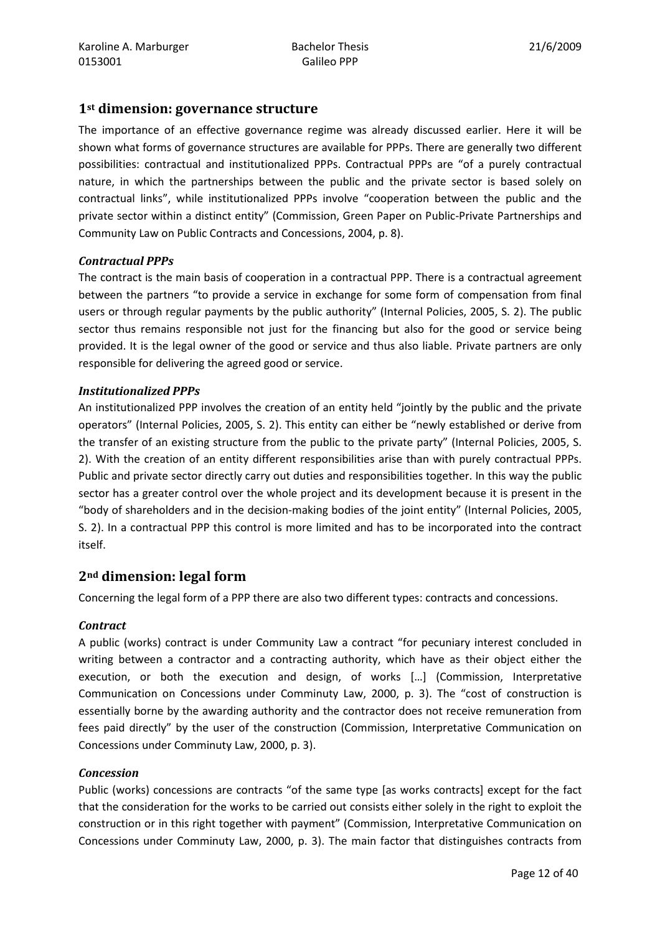#### 1st dimension: governance structure

The importance of an effective governance regime was already discussed earlier. Here it will be shown what forms of governance structures are available for PPPs. There are generally two different possibilities: contractual and institutionalized PPPs. Contractual PPPs are "of a purely contractual nature, in which the partnerships between the public and the private sector is based solely on contractual links", while institutionalized PPPs involve "cooperation between the public and the private sector within a distinct entity" (Commission, Green Paper on Public-Private Partnerships and Community Law on Public Contracts and Concessions, 2004, p. 8).

#### Contractual PPPs

The contract is the main basis of cooperation in a contractual PPP. There is a contractual agreement between the partners "to provide a service in exchange for some form of compensation from final users or through regular payments by the public authority" (Internal Policies, 2005, S. 2). The public sector thus remains responsible not just for the financing but also for the good or service being provided. It is the legal owner of the good or service and thus also liable. Private partners are only responsible for delivering the agreed good or service.

#### Institutionalized PPPs

An institutionalized PPP involves the creation of an entity held "jointly by the public and the private operators" (Internal Policies, 2005, S. 2). This entity can either be "newly established or derive from the transfer of an existing structure from the public to the private party" (Internal Policies, 2005, S. 2). With the creation of an entity different responsibilities arise than with purely contractual PPPs. Public and private sector directly carry out duties and responsibilities together. In this way the public sector has a greater control over the whole project and its development because it is present in the "body of shareholders and in the decision-making bodies of the joint entity" (Internal Policies, 2005, S. 2). In a contractual PPP this control is more limited and has to be incorporated into the contract itself.

#### 2nd dimension: legal form

Concerning the legal form of a PPP there are also two different types: contracts and concessions.

#### **Contract**

A public (works) contract is under Community Law a contract "for pecuniary interest concluded in writing between a contractor and a contracting authority, which have as their object either the execution, or both the execution and design, of works […] (Commission, Interpretative Communication on Concessions under Comminuty Law, 2000, p. 3). The "cost of construction is essentially borne by the awarding authority and the contractor does not receive remuneration from fees paid directly" by the user of the construction (Commission, Interpretative Communication on Concessions under Comminuty Law, 2000, p. 3).

#### Concession

Public (works) concessions are contracts "of the same type [as works contracts] except for the fact that the consideration for the works to be carried out consists either solely in the right to exploit the construction or in this right together with payment" (Commission, Interpretative Communication on Concessions under Comminuty Law, 2000, p. 3). The main factor that distinguishes contracts from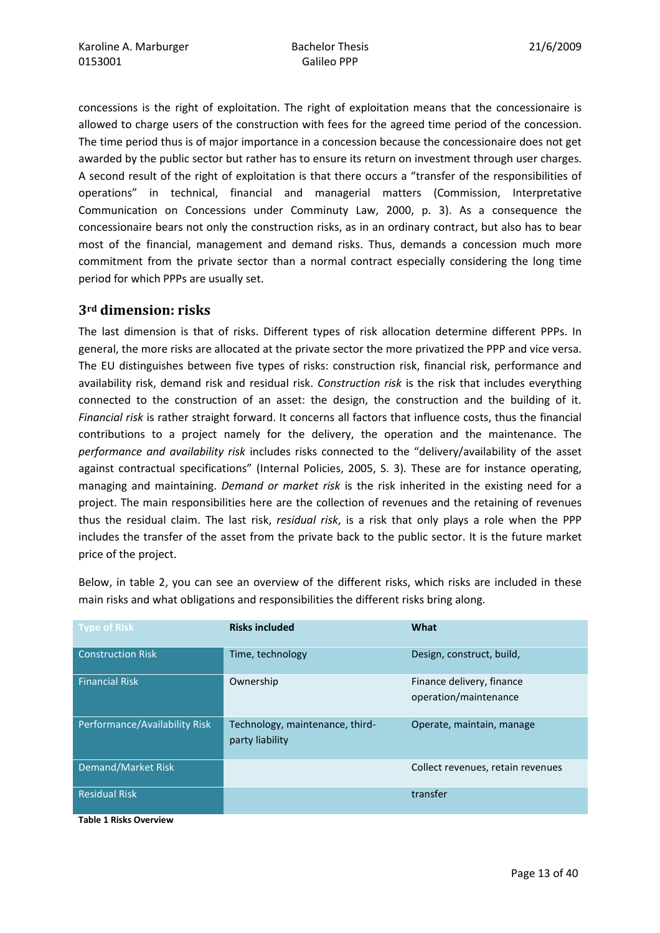concessions is the right of exploitation. The right of exploitation means that the concessionaire is allowed to charge users of the construction with fees for the agreed time period of the concession. The time period thus is of major importance in a concession because the concessionaire does not get awarded by the public sector but rather has to ensure its return on investment through user charges. A second result of the right of exploitation is that there occurs a "transfer of the responsibilities of operations" in technical, financial and managerial matters (Commission, Interpretative Communication on Concessions under Comminuty Law, 2000, p. 3). As a consequence the concessionaire bears not only the construction risks, as in an ordinary contract, but also has to bear most of the financial, management and demand risks. Thus, demands a concession much more commitment from the private sector than a normal contract especially considering the long time period for which PPPs are usually set.

#### 3rd dimension: risks

The last dimension is that of risks. Different types of risk allocation determine different PPPs. In general, the more risks are allocated at the private sector the more privatized the PPP and vice versa. The EU distinguishes between five types of risks: construction risk, financial risk, performance and availability risk, demand risk and residual risk. Construction risk is the risk that includes everything connected to the construction of an asset: the design, the construction and the building of it. Financial risk is rather straight forward. It concerns all factors that influence costs, thus the financial contributions to a project namely for the delivery, the operation and the maintenance. The performance and availability risk includes risks connected to the "delivery/availability of the asset against contractual specifications" (Internal Policies, 2005, S. 3). These are for instance operating, managing and maintaining. Demand or market risk is the risk inherited in the existing need for a project. The main responsibilities here are the collection of revenues and the retaining of revenues thus the residual claim. The last risk, residual risk, is a risk that only plays a role when the PPP includes the transfer of the asset from the private back to the public sector. It is the future market price of the project.

| <b>Type of Risk</b>           | <b>Risks included</b>                              | What                                               |
|-------------------------------|----------------------------------------------------|----------------------------------------------------|
| <b>Construction Risk</b>      | Time, technology                                   | Design, construct, build,                          |
| <b>Financial Risk</b>         | Ownership                                          | Finance delivery, finance<br>operation/maintenance |
| Performance/Availability Risk | Technology, maintenance, third-<br>party liability | Operate, maintain, manage                          |
| Demand/Market Risk            |                                                    | Collect revenues, retain revenues                  |
| <b>Residual Risk</b>          |                                                    | transfer                                           |

Below, in table 2, you can see an overview of the different risks, which risks are included in these main risks and what obligations and responsibilities the different risks bring along.

Table 1 Risks Overview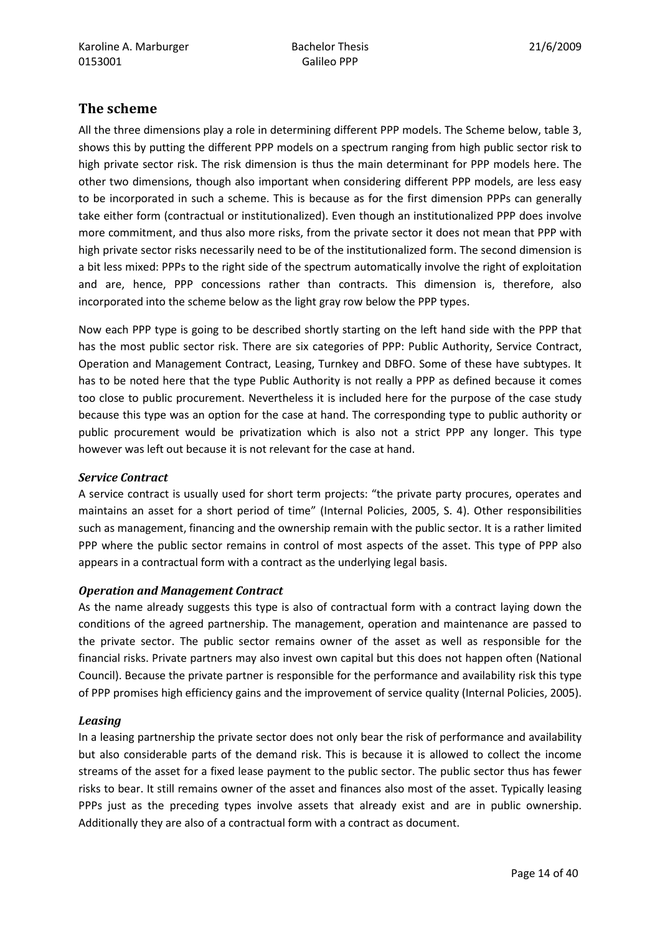## The scheme

All the three dimensions play a role in determining different PPP models. The Scheme below, table 3, shows this by putting the different PPP models on a spectrum ranging from high public sector risk to high private sector risk. The risk dimension is thus the main determinant for PPP models here. The other two dimensions, though also important when considering different PPP models, are less easy to be incorporated in such a scheme. This is because as for the first dimension PPPs can generally take either form (contractual or institutionalized). Even though an institutionalized PPP does involve more commitment, and thus also more risks, from the private sector it does not mean that PPP with high private sector risks necessarily need to be of the institutionalized form. The second dimension is a bit less mixed: PPPs to the right side of the spectrum automatically involve the right of exploitation and are, hence, PPP concessions rather than contracts. This dimension is, therefore, also incorporated into the scheme below as the light gray row below the PPP types.

Now each PPP type is going to be described shortly starting on the left hand side with the PPP that has the most public sector risk. There are six categories of PPP: Public Authority, Service Contract, Operation and Management Contract, Leasing, Turnkey and DBFO. Some of these have subtypes. It has to be noted here that the type Public Authority is not really a PPP as defined because it comes too close to public procurement. Nevertheless it is included here for the purpose of the case study because this type was an option for the case at hand. The corresponding type to public authority or public procurement would be privatization which is also not a strict PPP any longer. This type however was left out because it is not relevant for the case at hand.

#### Service Contract

A service contract is usually used for short term projects: "the private party procures, operates and maintains an asset for a short period of time" (Internal Policies, 2005, S. 4). Other responsibilities such as management, financing and the ownership remain with the public sector. It is a rather limited PPP where the public sector remains in control of most aspects of the asset. This type of PPP also appears in a contractual form with a contract as the underlying legal basis.

#### Operation and Management Contract

As the name already suggests this type is also of contractual form with a contract laying down the conditions of the agreed partnership. The management, operation and maintenance are passed to the private sector. The public sector remains owner of the asset as well as responsible for the financial risks. Private partners may also invest own capital but this does not happen often (National Council). Because the private partner is responsible for the performance and availability risk this type of PPP promises high efficiency gains and the improvement of service quality (Internal Policies, 2005).

#### Leasing

In a leasing partnership the private sector does not only bear the risk of performance and availability but also considerable parts of the demand risk. This is because it is allowed to collect the income streams of the asset for a fixed lease payment to the public sector. The public sector thus has fewer risks to bear. It still remains owner of the asset and finances also most of the asset. Typically leasing PPPs just as the preceding types involve assets that already exist and are in public ownership. Additionally they are also of a contractual form with a contract as document.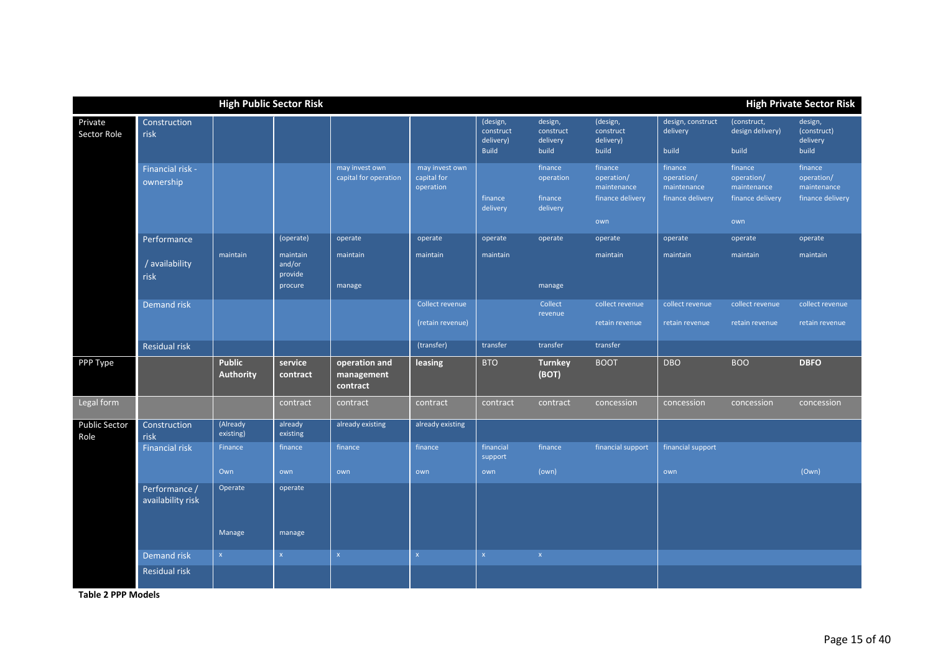|                              |                                    | <b>High Public Sector Risk</b> |                               |                                         |                                            |                                                    |                                             |                                                          |                                                          |                                                          | <b>High Private Sector Risk</b>                          |
|------------------------------|------------------------------------|--------------------------------|-------------------------------|-----------------------------------------|--------------------------------------------|----------------------------------------------------|---------------------------------------------|----------------------------------------------------------|----------------------------------------------------------|----------------------------------------------------------|----------------------------------------------------------|
| Private<br>Sector Role       | Construction<br>risk               |                                |                               |                                         |                                            | (design,<br>construct<br>delivery)<br><b>Build</b> | design,<br>construct<br>delivery<br>build   | (design,<br>construct<br>delivery)<br>build              | design, construct<br>delivery<br>build                   | (construct,<br>design delivery)<br>build                 | design,<br>(construct)<br>delivery<br>build              |
|                              | Financial risk -<br>ownership      |                                |                               | may invest own<br>capital for operation | may invest own<br>capital for<br>operation | finance<br>delivery                                | finance<br>operation<br>finance<br>delivery | finance<br>operation/<br>maintenance<br>finance delivery | finance<br>operation/<br>maintenance<br>finance delivery | finance<br>operation/<br>maintenance<br>finance delivery | finance<br>operation/<br>maintenance<br>finance delivery |
|                              |                                    |                                |                               |                                         |                                            |                                                    |                                             | own                                                      |                                                          | own                                                      |                                                          |
|                              | Performance                        |                                | (operate)                     | operate                                 | operate                                    | operate                                            | operate                                     | operate                                                  | operate                                                  | operate                                                  | operate                                                  |
|                              | / availability<br>risk             | maintain                       | maintain<br>and/or<br>provide | maintain                                | maintain                                   | maintain                                           |                                             | maintain                                                 | maintain                                                 | maintain                                                 | maintain                                                 |
|                              |                                    |                                | procure                       | manage                                  |                                            |                                                    | manage                                      |                                                          |                                                          |                                                          |                                                          |
|                              | Demand risk                        |                                |                               |                                         | Collect revenue                            |                                                    | Collect<br>revenue                          | collect revenue                                          | collect revenue                                          | collect revenue                                          | collect revenue                                          |
|                              |                                    |                                |                               |                                         | (retain revenue)                           |                                                    |                                             | retain revenue                                           | retain revenue                                           | retain revenue                                           | retain revenue                                           |
|                              | <b>Residual risk</b>               |                                |                               |                                         | (transfer)                                 | transfer                                           | transfer                                    | transfer                                                 |                                                          |                                                          |                                                          |
| PPP Type                     |                                    | <b>Public</b><br>Authority     | service<br>contract           | operation and<br>management<br>contract | leasing                                    | <b>BTO</b>                                         | <b>Turnkey</b><br>(BOT)                     | <b>BOOT</b>                                              | <b>DBO</b>                                               | <b>BOO</b>                                               | <b>DBFO</b>                                              |
| Legal form                   |                                    |                                | contract                      | contract                                | contract                                   | contract                                           | contract                                    | concession                                               | concession                                               | concession                                               | concession                                               |
| <b>Public Sector</b><br>Role | Construction<br>risk               | (Already<br>existing)          | already<br>existing           | already existing                        | already existing                           |                                                    |                                             |                                                          |                                                          |                                                          |                                                          |
|                              | <b>Financial risk</b>              | Finance                        | finance                       | finance                                 | finance                                    | financial<br>support                               | finance                                     | financial support                                        | financial support                                        |                                                          |                                                          |
|                              |                                    | Own                            | own                           | own                                     | own                                        | own                                                | (own)                                       |                                                          | own                                                      |                                                          | (Own)                                                    |
|                              | Performance /<br>availability risk | Operate                        | operate                       |                                         |                                            |                                                    |                                             |                                                          |                                                          |                                                          |                                                          |
|                              |                                    | Manage                         | manage                        |                                         |                                            |                                                    |                                             |                                                          |                                                          |                                                          |                                                          |
|                              | <b>Demandrisk</b>                  | $\mathsf X$                    | $\mathsf X$                   | $\mathsf X$                             | $\mathsf X$                                | $\mathsf X$                                        | $\mathsf X$                                 |                                                          |                                                          |                                                          |                                                          |
|                              | Residual risk                      |                                |                               |                                         |                                            |                                                    |                                             |                                                          |                                                          |                                                          |                                                          |

Table 2 PPP Models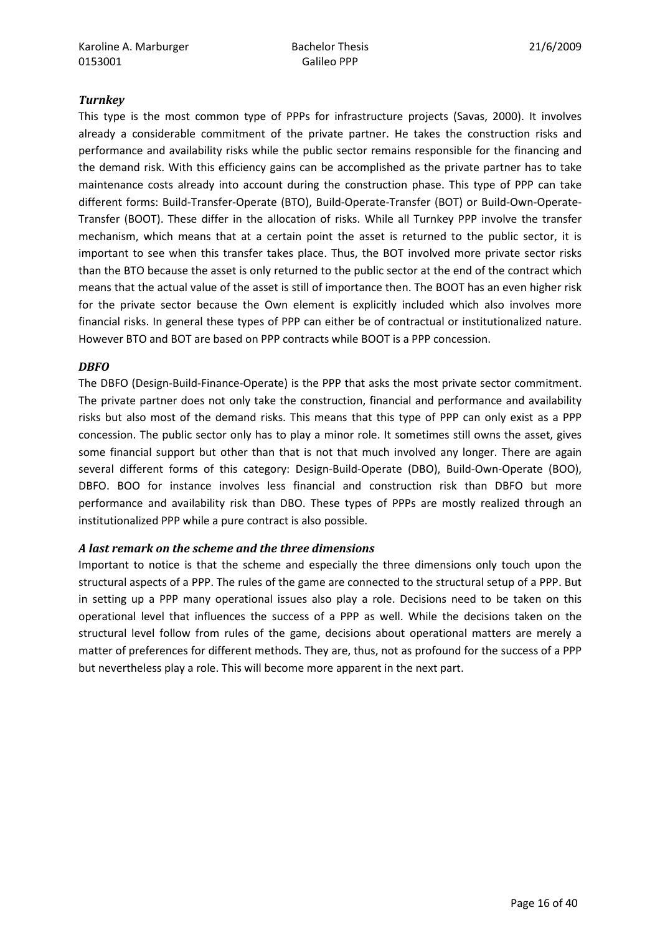#### **Turnkey**

This type is the most common type of PPPs for infrastructure projects (Savas, 2000). It involves already a considerable commitment of the private partner. He takes the construction risks and performance and availability risks while the public sector remains responsible for the financing and the demand risk. With this efficiency gains can be accomplished as the private partner has to take maintenance costs already into account during the construction phase. This type of PPP can take different forms: Build-Transfer-Operate (BTO), Build-Operate-Transfer (BOT) or Build-Own-Operate-Transfer (BOOT). These differ in the allocation of risks. While all Turnkey PPP involve the transfer mechanism, which means that at a certain point the asset is returned to the public sector, it is important to see when this transfer takes place. Thus, the BOT involved more private sector risks than the BTO because the asset is only returned to the public sector at the end of the contract which means that the actual value of the asset is still of importance then. The BOOT has an even higher risk for the private sector because the Own element is explicitly included which also involves more financial risks. In general these types of PPP can either be of contractual or institutionalized nature. However BTO and BOT are based on PPP contracts while BOOT is a PPP concession.

#### **DBFO**

The DBFO (Design-Build-Finance-Operate) is the PPP that asks the most private sector commitment. The private partner does not only take the construction, financial and performance and availability risks but also most of the demand risks. This means that this type of PPP can only exist as a PPP concession. The public sector only has to play a minor role. It sometimes still owns the asset, gives some financial support but other than that is not that much involved any longer. There are again several different forms of this category: Design-Build-Operate (DBO), Build-Own-Operate (BOO), DBFO. BOO for instance involves less financial and construction risk than DBFO but more performance and availability risk than DBO. These types of PPPs are mostly realized through an institutionalized PPP while a pure contract is also possible.

#### A last remark on the scheme and the three dimensions

Important to notice is that the scheme and especially the three dimensions only touch upon the structural aspects of a PPP. The rules of the game are connected to the structural setup of a PPP. But in setting up a PPP many operational issues also play a role. Decisions need to be taken on this operational level that influences the success of a PPP as well. While the decisions taken on the structural level follow from rules of the game, decisions about operational matters are merely a matter of preferences for different methods. They are, thus, not as profound for the success of a PPP but nevertheless play a role. This will become more apparent in the next part.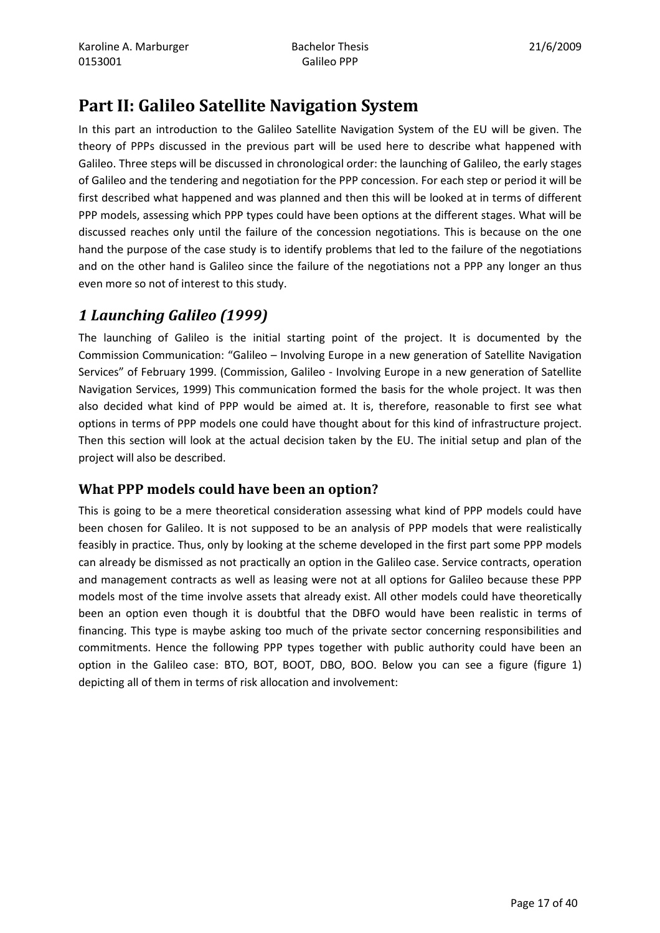# Part II: Galileo Satellite Navigation System

In this part an introduction to the Galileo Satellite Navigation System of the EU will be given. The theory of PPPs discussed in the previous part will be used here to describe what happened with Galileo. Three steps will be discussed in chronological order: the launching of Galileo, the early stages of Galileo and the tendering and negotiation for the PPP concession. For each step or period it will be first described what happened and was planned and then this will be looked at in terms of different PPP models, assessing which PPP types could have been options at the different stages. What will be discussed reaches only until the failure of the concession negotiations. This is because on the one hand the purpose of the case study is to identify problems that led to the failure of the negotiations and on the other hand is Galileo since the failure of the negotiations not a PPP any longer an thus even more so not of interest to this study.

# 1 Launching Galileo (1999)

The launching of Galileo is the initial starting point of the project. It is documented by the Commission Communication: "Galileo – Involving Europe in a new generation of Satellite Navigation Services" of February 1999. (Commission, Galileo - Involving Europe in a new generation of Satellite Navigation Services, 1999) This communication formed the basis for the whole project. It was then also decided what kind of PPP would be aimed at. It is, therefore, reasonable to first see what options in terms of PPP models one could have thought about for this kind of infrastructure project. Then this section will look at the actual decision taken by the EU. The initial setup and plan of the project will also be described.

# What PPP models could have been an option?

This is going to be a mere theoretical consideration assessing what kind of PPP models could have been chosen for Galileo. It is not supposed to be an analysis of PPP models that were realistically feasibly in practice. Thus, only by looking at the scheme developed in the first part some PPP models can already be dismissed as not practically an option in the Galileo case. Service contracts, operation and management contracts as well as leasing were not at all options for Galileo because these PPP models most of the time involve assets that already exist. All other models could have theoretically been an option even though it is doubtful that the DBFO would have been realistic in terms of financing. This type is maybe asking too much of the private sector concerning responsibilities and commitments. Hence the following PPP types together with public authority could have been an option in the Galileo case: BTO, BOT, BOOT, DBO, BOO. Below you can see a figure (figure 1) depicting all of them in terms of risk allocation and involvement: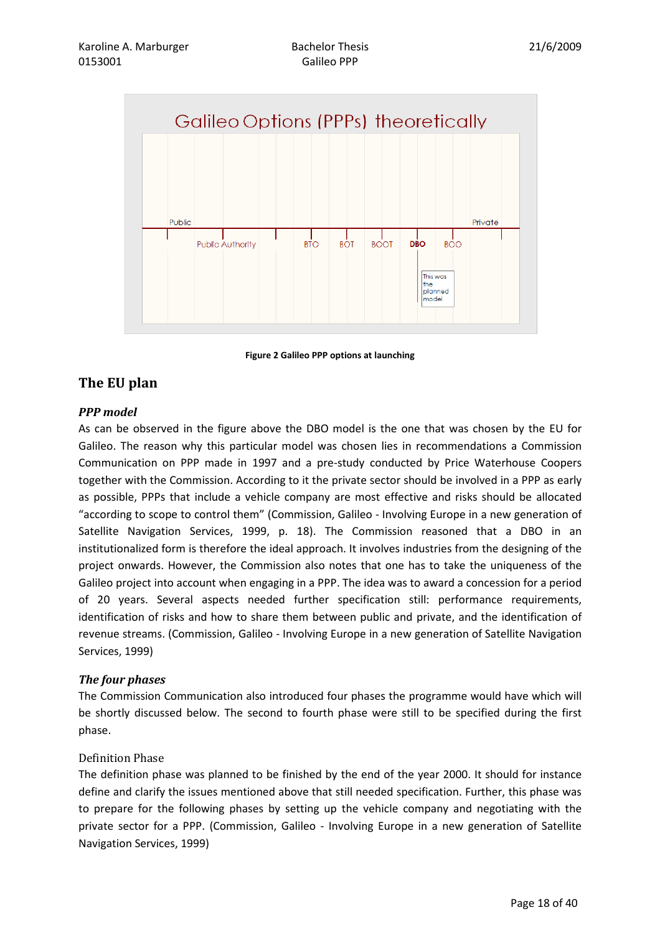

Figure 2 Galileo PPP options at launching

# The EU plan

#### PPP model

As can be observed in the figure above the DBO model is the one that was chosen by the EU for Galileo. The reason why this particular model was chosen lies in recommendations a Commission Communication on PPP made in 1997 and a pre-study conducted by Price Waterhouse Coopers together with the Commission. According to it the private sector should be involved in a PPP as early as possible, PPPs that include a vehicle company are most effective and risks should be allocated "according to scope to control them" (Commission, Galileo - Involving Europe in a new generation of Satellite Navigation Services, 1999, p. 18). The Commission reasoned that a DBO in an institutionalized form is therefore the ideal approach. It involves industries from the designing of the project onwards. However, the Commission also notes that one has to take the uniqueness of the Galileo project into account when engaging in a PPP. The idea was to award a concession for a period of 20 years. Several aspects needed further specification still: performance requirements, identification of risks and how to share them between public and private, and the identification of revenue streams. (Commission, Galileo - Involving Europe in a new generation of Satellite Navigation Services, 1999)

#### The four phases

The Commission Communication also introduced four phases the programme would have which will be shortly discussed below. The second to fourth phase were still to be specified during the first phase.

#### Definition Phase

The definition phase was planned to be finished by the end of the year 2000. It should for instance define and clarify the issues mentioned above that still needed specification. Further, this phase was to prepare for the following phases by setting up the vehicle company and negotiating with the private sector for a PPP. (Commission, Galileo - Involving Europe in a new generation of Satellite Navigation Services, 1999)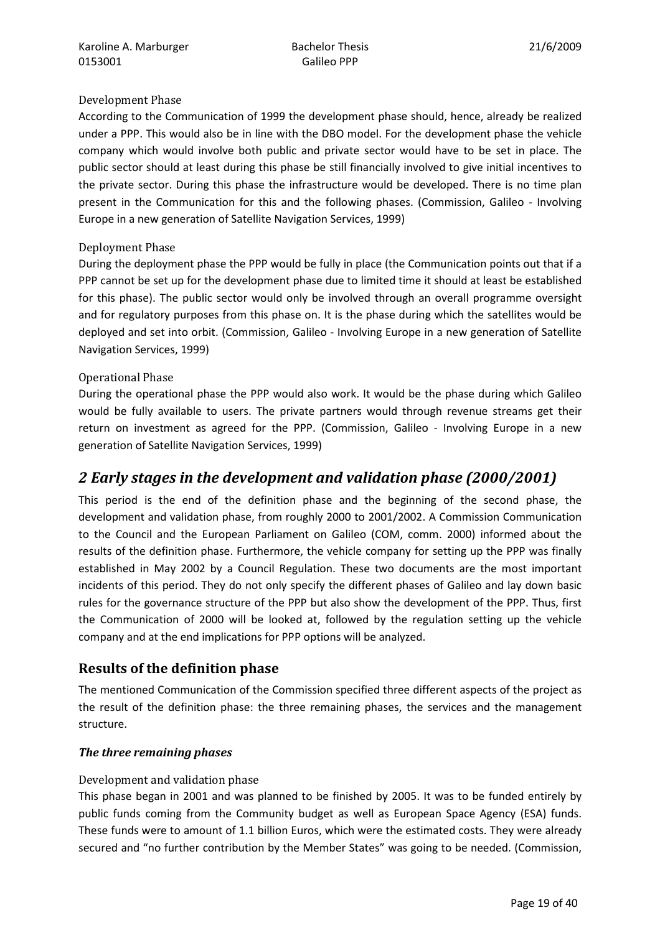#### Development Phase

According to the Communication of 1999 the development phase should, hence, already be realized under a PPP. This would also be in line with the DBO model. For the development phase the vehicle company which would involve both public and private sector would have to be set in place. The public sector should at least during this phase be still financially involved to give initial incentives to the private sector. During this phase the infrastructure would be developed. There is no time plan present in the Communication for this and the following phases. (Commission, Galileo - Involving Europe in a new generation of Satellite Navigation Services, 1999)

#### Deployment Phase

During the deployment phase the PPP would be fully in place (the Communication points out that if a PPP cannot be set up for the development phase due to limited time it should at least be established for this phase). The public sector would only be involved through an overall programme oversight and for regulatory purposes from this phase on. It is the phase during which the satellites would be deployed and set into orbit. (Commission, Galileo - Involving Europe in a new generation of Satellite Navigation Services, 1999)

#### Operational Phase

During the operational phase the PPP would also work. It would be the phase during which Galileo would be fully available to users. The private partners would through revenue streams get their return on investment as agreed for the PPP. (Commission, Galileo - Involving Europe in a new generation of Satellite Navigation Services, 1999)

# 2 Early stages in the development and validation phase (2000/2001)

This period is the end of the definition phase and the beginning of the second phase, the development and validation phase, from roughly 2000 to 2001/2002. A Commission Communication to the Council and the European Parliament on Galileo (COM, comm. 2000) informed about the results of the definition phase. Furthermore, the vehicle company for setting up the PPP was finally established in May 2002 by a Council Regulation. These two documents are the most important incidents of this period. They do not only specify the different phases of Galileo and lay down basic rules for the governance structure of the PPP but also show the development of the PPP. Thus, first the Communication of 2000 will be looked at, followed by the regulation setting up the vehicle company and at the end implications for PPP options will be analyzed.

#### Results of the definition phase

The mentioned Communication of the Commission specified three different aspects of the project as the result of the definition phase: the three remaining phases, the services and the management structure.

#### The three remaining phases

#### Development and validation phase

This phase began in 2001 and was planned to be finished by 2005. It was to be funded entirely by public funds coming from the Community budget as well as European Space Agency (ESA) funds. These funds were to amount of 1.1 billion Euros, which were the estimated costs. They were already secured and "no further contribution by the Member States" was going to be needed. (Commission,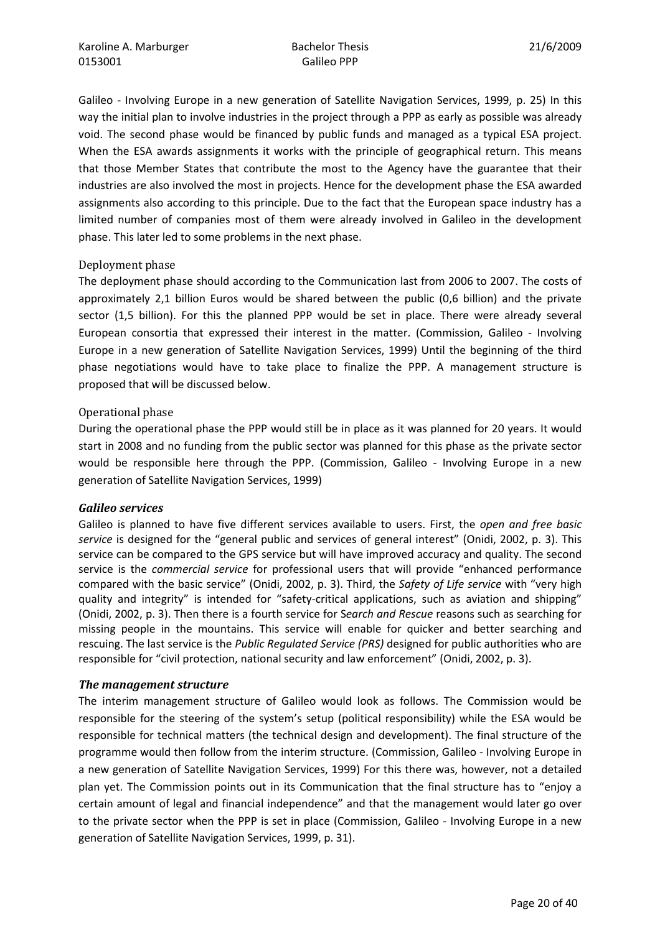Galileo - Involving Europe in a new generation of Satellite Navigation Services, 1999, p. 25) In this way the initial plan to involve industries in the project through a PPP as early as possible was already void. The second phase would be financed by public funds and managed as a typical ESA project. When the ESA awards assignments it works with the principle of geographical return. This means that those Member States that contribute the most to the Agency have the guarantee that their industries are also involved the most in projects. Hence for the development phase the ESA awarded assignments also according to this principle. Due to the fact that the European space industry has a limited number of companies most of them were already involved in Galileo in the development phase. This later led to some problems in the next phase.

#### Deployment phase

The deployment phase should according to the Communication last from 2006 to 2007. The costs of approximately 2,1 billion Euros would be shared between the public (0,6 billion) and the private sector (1,5 billion). For this the planned PPP would be set in place. There were already several European consortia that expressed their interest in the matter. (Commission, Galileo - Involving Europe in a new generation of Satellite Navigation Services, 1999) Until the beginning of the third phase negotiations would have to take place to finalize the PPP. A management structure is proposed that will be discussed below.

#### Operational phase

During the operational phase the PPP would still be in place as it was planned for 20 years. It would start in 2008 and no funding from the public sector was planned for this phase as the private sector would be responsible here through the PPP. (Commission, Galileo - Involving Europe in a new generation of Satellite Navigation Services, 1999)

#### Galileo services

Galileo is planned to have five different services available to users. First, the open and free basic service is designed for the "general public and services of general interest" (Onidi, 2002, p. 3). This service can be compared to the GPS service but will have improved accuracy and quality. The second service is the commercial service for professional users that will provide "enhanced performance compared with the basic service" (Onidi, 2002, p. 3). Third, the Safety of Life service with "very high quality and integrity" is intended for "safety-critical applications, such as aviation and shipping" (Onidi, 2002, p. 3). Then there is a fourth service for Search and Rescue reasons such as searching for missing people in the mountains. This service will enable for quicker and better searching and rescuing. The last service is the Public Regulated Service (PRS) designed for public authorities who are responsible for "civil protection, national security and law enforcement" (Onidi, 2002, p. 3).

#### The management structure

The interim management structure of Galileo would look as follows. The Commission would be responsible for the steering of the system's setup (political responsibility) while the ESA would be responsible for technical matters (the technical design and development). The final structure of the programme would then follow from the interim structure. (Commission, Galileo - Involving Europe in a new generation of Satellite Navigation Services, 1999) For this there was, however, not a detailed plan yet. The Commission points out in its Communication that the final structure has to "enjoy a certain amount of legal and financial independence" and that the management would later go over to the private sector when the PPP is set in place (Commission, Galileo - Involving Europe in a new generation of Satellite Navigation Services, 1999, p. 31).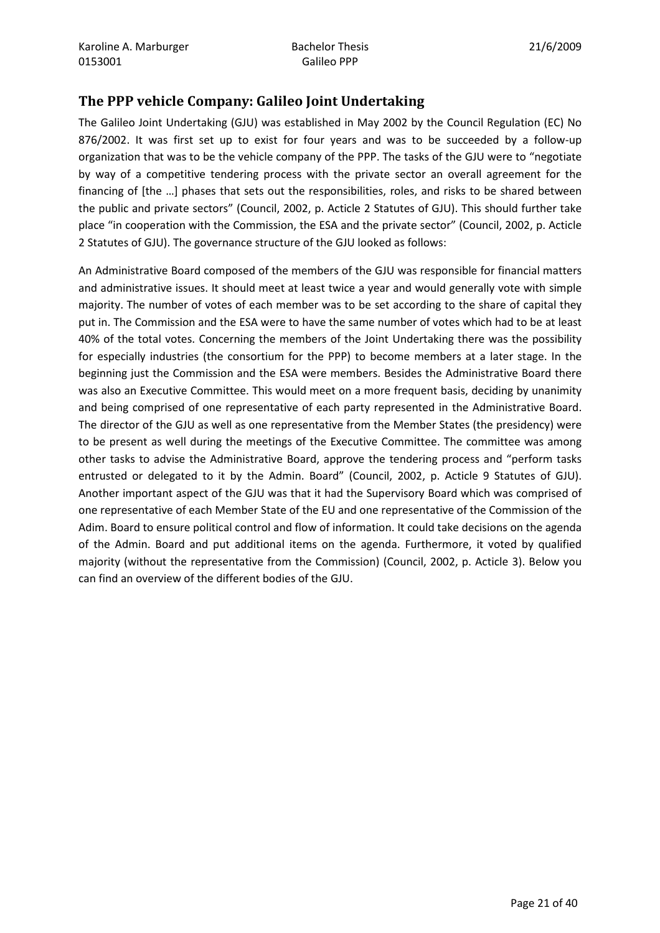## The PPP vehicle Company: Galileo Joint Undertaking

The Galileo Joint Undertaking (GJU) was established in May 2002 by the Council Regulation (EC) No 876/2002. It was first set up to exist for four years and was to be succeeded by a follow-up organization that was to be the vehicle company of the PPP. The tasks of the GJU were to "negotiate by way of a competitive tendering process with the private sector an overall agreement for the financing of [the …] phases that sets out the responsibilities, roles, and risks to be shared between the public and private sectors" (Council, 2002, p. Acticle 2 Statutes of GJU). This should further take place "in cooperation with the Commission, the ESA and the private sector" (Council, 2002, p. Acticle 2 Statutes of GJU). The governance structure of the GJU looked as follows:

An Administrative Board composed of the members of the GJU was responsible for financial matters and administrative issues. It should meet at least twice a year and would generally vote with simple majority. The number of votes of each member was to be set according to the share of capital they put in. The Commission and the ESA were to have the same number of votes which had to be at least 40% of the total votes. Concerning the members of the Joint Undertaking there was the possibility for especially industries (the consortium for the PPP) to become members at a later stage. In the beginning just the Commission and the ESA were members. Besides the Administrative Board there was also an Executive Committee. This would meet on a more frequent basis, deciding by unanimity and being comprised of one representative of each party represented in the Administrative Board. The director of the GJU as well as one representative from the Member States (the presidency) were to be present as well during the meetings of the Executive Committee. The committee was among other tasks to advise the Administrative Board, approve the tendering process and "perform tasks entrusted or delegated to it by the Admin. Board" (Council, 2002, p. Acticle 9 Statutes of GJU). Another important aspect of the GJU was that it had the Supervisory Board which was comprised of one representative of each Member State of the EU and one representative of the Commission of the Adim. Board to ensure political control and flow of information. It could take decisions on the agenda of the Admin. Board and put additional items on the agenda. Furthermore, it voted by qualified majority (without the representative from the Commission) (Council, 2002, p. Acticle 3). Below you can find an overview of the different bodies of the GJU.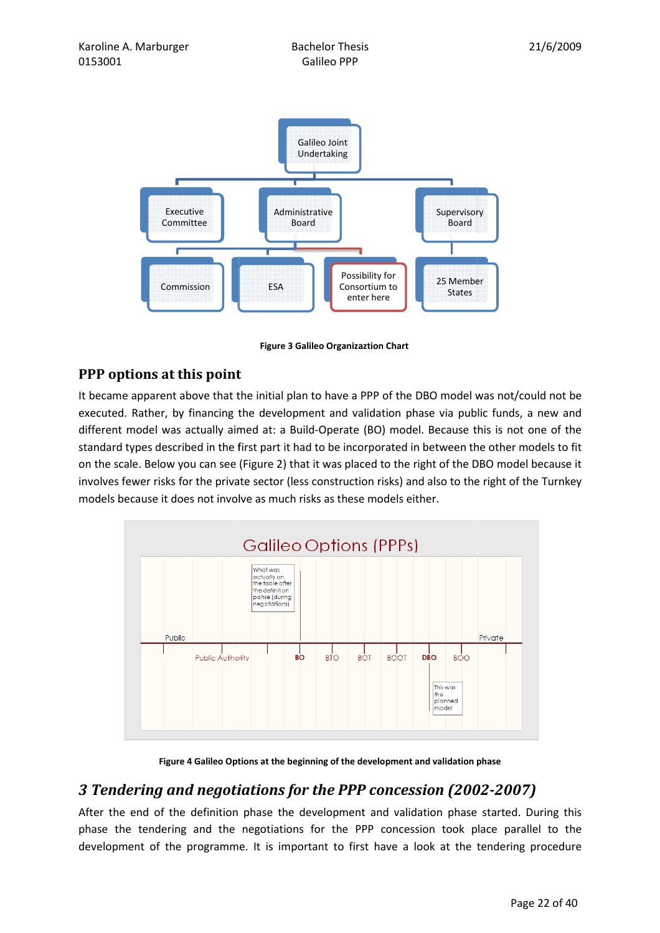

Figure 3 Galileo Organizaztion Chart

## PPP options at this point

It became apparent above that the initial plan to have a PPP of the DBO model was not/could not be executed. Rather, by financing the development and validation phase via public funds, a new and different model was actually aimed at: a Build-Operate (BO) model. Because this is not one of the standard types described in the first part it had to be incorporated in between the other models to fit on the scale. Below standard types described in the first part it had to be incorporated in between the other models to fit on the scale. Below you can see (Figure 2) that it was placed to the right of the DBO model because it involves fewer risks for the private sector (less construction risks) and also to the right of the models because it does not involve as much risks as these models either.



Figure 4 Galileo Options at the beginning of the development and validation phase

# 3 Tendering and negotiations for the PPP concession (2002 (2002-2007)

After the end of the definition phase the development and validation phase started. During this phase the tendering and the negotiations for the PPP concession took place parallel to the development of the programme. It is important to first have a look at the tendering procedure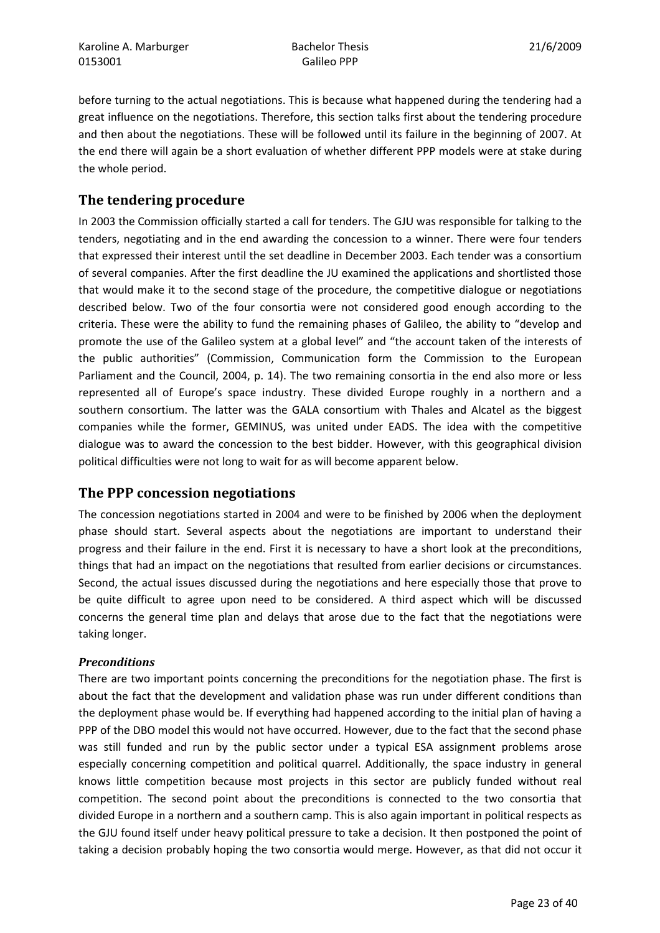before turning to the actual negotiations. This is because what happened during the tendering had a great influence on the negotiations. Therefore, this section talks first about the tendering procedure and then about the negotiations. These will be followed until its failure in the beginning of 2007. At the end there will again be a short evaluation of whether different PPP models were at stake during the whole period.

# The tendering procedure

In 2003 the Commission officially started a call for tenders. The GJU was responsible for talking to the tenders, negotiating and in the end awarding the concession to a winner. There were four tenders that expressed their interest until the set deadline in December 2003. Each tender was a consortium of several companies. After the first deadline the JU examined the applications and shortlisted those that would make it to the second stage of the procedure, the competitive dialogue or negotiations described below. Two of the four consortia were not considered good enough according to the criteria. These were the ability to fund the remaining phases of Galileo, the ability to "develop and promote the use of the Galileo system at a global level" and "the account taken of the interests of the public authorities" (Commission, Communication form the Commission to the European Parliament and the Council, 2004, p. 14). The two remaining consortia in the end also more or less represented all of Europe's space industry. These divided Europe roughly in a northern and a southern consortium. The latter was the GALA consortium with Thales and Alcatel as the biggest companies while the former, GEMINUS, was united under EADS. The idea with the competitive dialogue was to award the concession to the best bidder. However, with this geographical division political difficulties were not long to wait for as will become apparent below.

## The PPP concession negotiations

The concession negotiations started in 2004 and were to be finished by 2006 when the deployment phase should start. Several aspects about the negotiations are important to understand their progress and their failure in the end. First it is necessary to have a short look at the preconditions, things that had an impact on the negotiations that resulted from earlier decisions or circumstances. Second, the actual issues discussed during the negotiations and here especially those that prove to be quite difficult to agree upon need to be considered. A third aspect which will be discussed concerns the general time plan and delays that arose due to the fact that the negotiations were taking longer.

#### **Preconditions**

There are two important points concerning the preconditions for the negotiation phase. The first is about the fact that the development and validation phase was run under different conditions than the deployment phase would be. If everything had happened according to the initial plan of having a PPP of the DBO model this would not have occurred. However, due to the fact that the second phase was still funded and run by the public sector under a typical ESA assignment problems arose especially concerning competition and political quarrel. Additionally, the space industry in general knows little competition because most projects in this sector are publicly funded without real competition. The second point about the preconditions is connected to the two consortia that divided Europe in a northern and a southern camp. This is also again important in political respects as the GJU found itself under heavy political pressure to take a decision. It then postponed the point of taking a decision probably hoping the two consortia would merge. However, as that did not occur it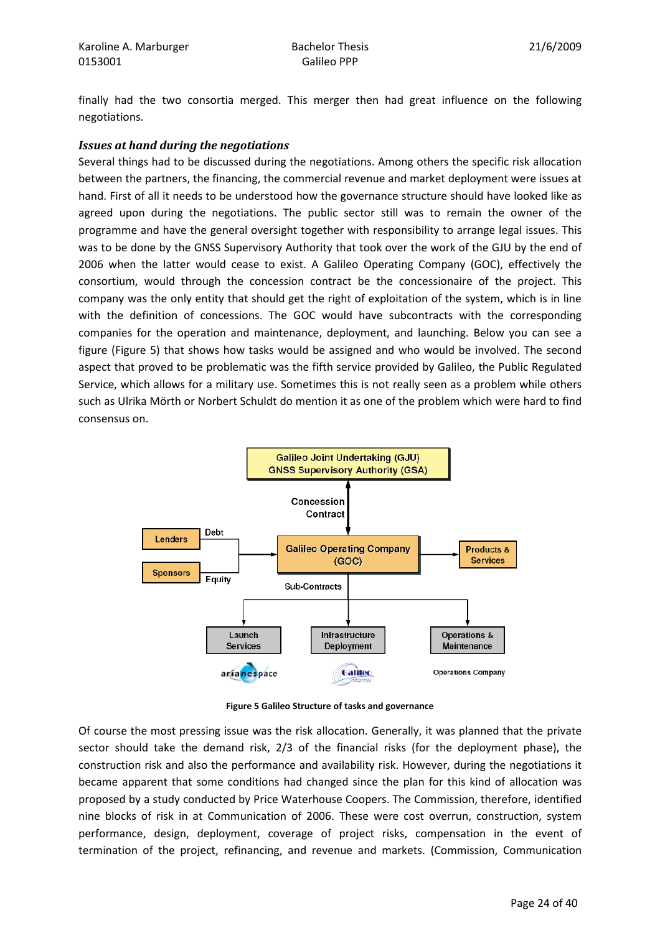finally had the two consortia merged. This merger then had great influence on the following negotiations.

#### Issues at hand during the negotiations

Several things had to be discussed during the negotiations. Among others the specific risk allocation between the partners, the financing, the commercial revenue and market deployment were issues at hand. First of all it needs to be understood how the governance structure should have looked like as agreed upon during the negotiations. The public sector still was to remain the owner of the programme and have the general oversight together with responsibility to arrange legal issues. This was to be done by the GNSS Supervisory Authority that took over the work of the GJU by the end of 2006 when the latter would cease to exist. A Galileo Operating Company (GOC), effectively the consortium, would through the concession contract be the concessionaire of the project. This company was the only entity that should get the right of exploitation of the system, which is in line with the definition of concessions. The GOC would have subcontracts with the corresponding companies for the operation and maintenance, deployment, and launching. Below you can see a figure (Figure 5) that shows how tasks would be assigned and who would be involved. The second aspect that proved to be problematic was the fifth service provided by Galileo, the Public Regulated Service, which allows for a military use. Sometimes this is not really seen as a problem while others such as Ulrika Mörth or Norbert Schuldt do mention it as one of the problem which were hard to find consensus on.



Figure 5 Galileo Structure of tasks and governance

Of course the most pressing issue was the risk allocation. Generally, it was planned that the private sector should take the demand risk, 2/3 of the financial risks (for the deployment phase), the construction risk and also the performance and availability risk. However, during the negotiations it became apparent that some conditions had changed since the plan for this kind of allocation was proposed by a study conducted by Price Waterhouse Coopers. The Commission, therefore, identified nine blocks of risk in at Communication of 2006. These were cost overrun, construction, system performance, design, deployment, coverage of project risks, compensation in the event of termination of the project, refinancing, and revenue and markets. (Commission, Communication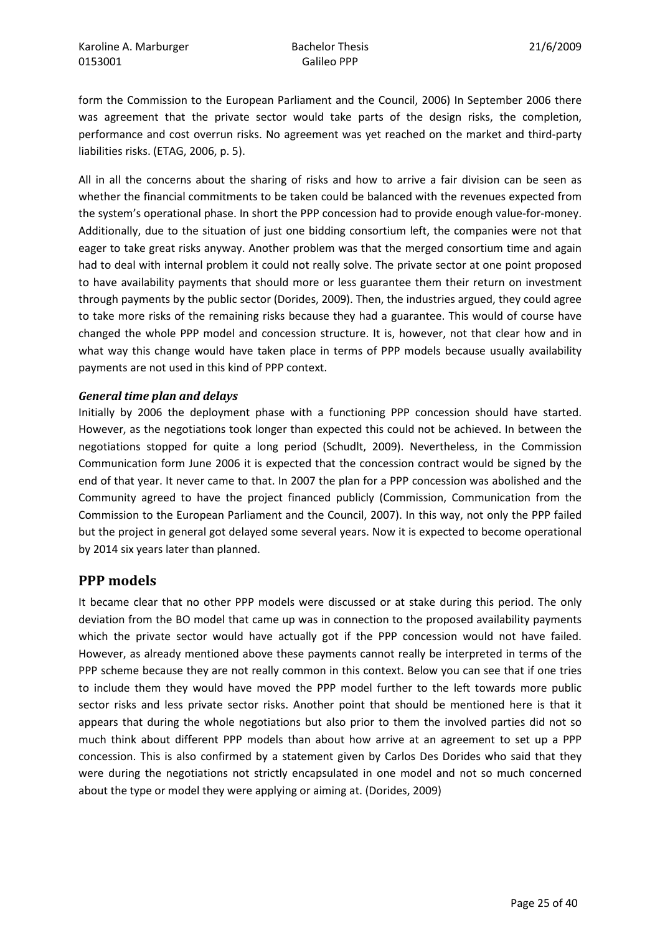form the Commission to the European Parliament and the Council, 2006) In September 2006 there was agreement that the private sector would take parts of the design risks, the completion, performance and cost overrun risks. No agreement was yet reached on the market and third-party liabilities risks. (ETAG, 2006, p. 5).

All in all the concerns about the sharing of risks and how to arrive a fair division can be seen as whether the financial commitments to be taken could be balanced with the revenues expected from the system's operational phase. In short the PPP concession had to provide enough value-for-money. Additionally, due to the situation of just one bidding consortium left, the companies were not that eager to take great risks anyway. Another problem was that the merged consortium time and again had to deal with internal problem it could not really solve. The private sector at one point proposed to have availability payments that should more or less guarantee them their return on investment through payments by the public sector (Dorides, 2009). Then, the industries argued, they could agree to take more risks of the remaining risks because they had a guarantee. This would of course have changed the whole PPP model and concession structure. It is, however, not that clear how and in what way this change would have taken place in terms of PPP models because usually availability payments are not used in this kind of PPP context.

#### General time plan and delays

Initially by 2006 the deployment phase with a functioning PPP concession should have started. However, as the negotiations took longer than expected this could not be achieved. In between the negotiations stopped for quite a long period (Schudlt, 2009). Nevertheless, in the Commission Communication form June 2006 it is expected that the concession contract would be signed by the end of that year. It never came to that. In 2007 the plan for a PPP concession was abolished and the Community agreed to have the project financed publicly (Commission, Communication from the Commission to the European Parliament and the Council, 2007). In this way, not only the PPP failed but the project in general got delayed some several years. Now it is expected to become operational by 2014 six years later than planned.

#### PPP models

It became clear that no other PPP models were discussed or at stake during this period. The only deviation from the BO model that came up was in connection to the proposed availability payments which the private sector would have actually got if the PPP concession would not have failed. However, as already mentioned above these payments cannot really be interpreted in terms of the PPP scheme because they are not really common in this context. Below you can see that if one tries to include them they would have moved the PPP model further to the left towards more public sector risks and less private sector risks. Another point that should be mentioned here is that it appears that during the whole negotiations but also prior to them the involved parties did not so much think about different PPP models than about how arrive at an agreement to set up a PPP concession. This is also confirmed by a statement given by Carlos Des Dorides who said that they were during the negotiations not strictly encapsulated in one model and not so much concerned about the type or model they were applying or aiming at. (Dorides, 2009)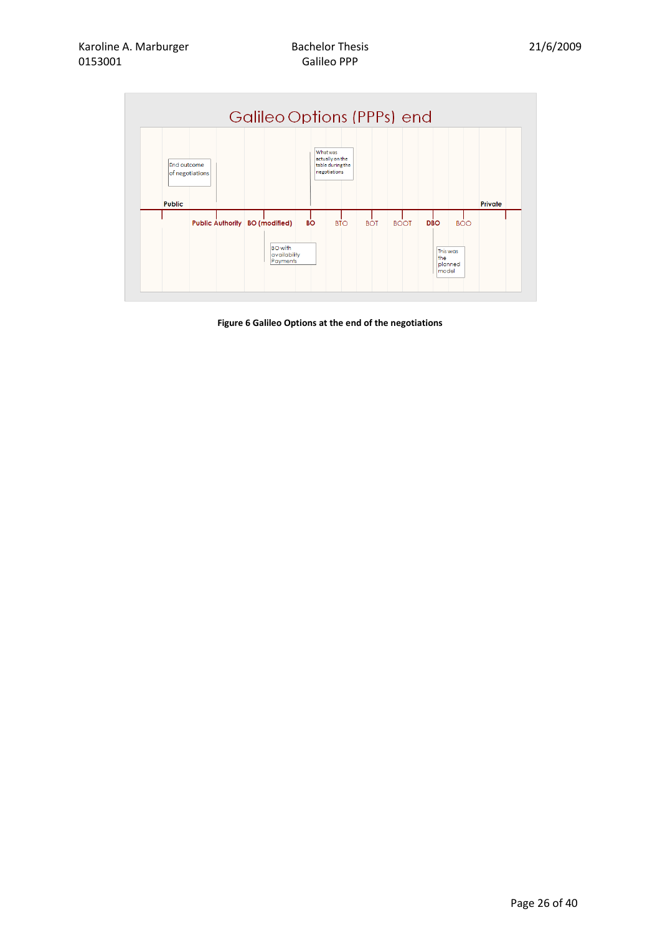

Figure 6 Galileo Options at the end of the negotiations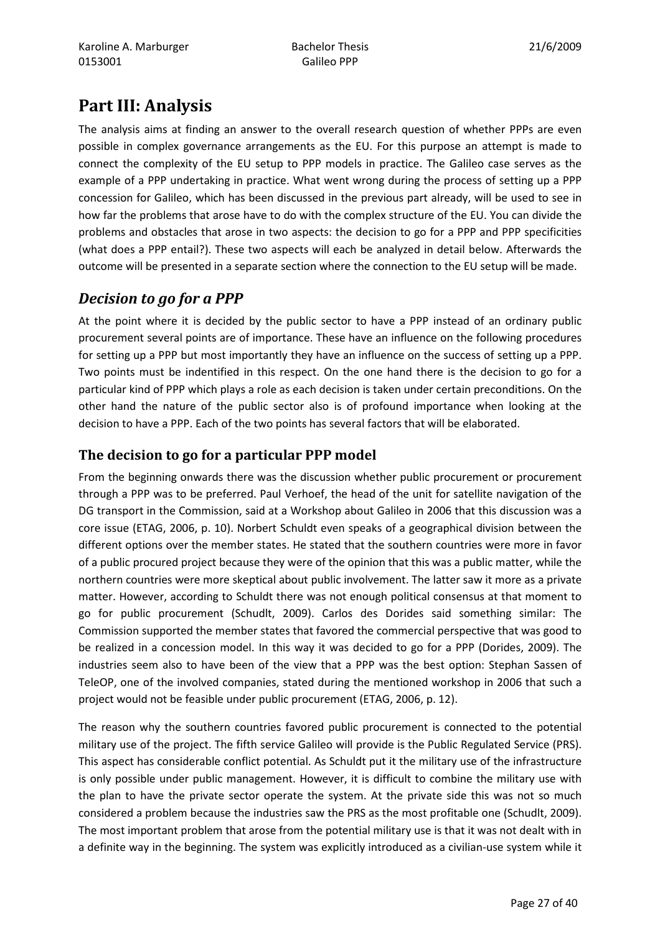# Part III: Analysis

The analysis aims at finding an answer to the overall research question of whether PPPs are even possible in complex governance arrangements as the EU. For this purpose an attempt is made to connect the complexity of the EU setup to PPP models in practice. The Galileo case serves as the example of a PPP undertaking in practice. What went wrong during the process of setting up a PPP concession for Galileo, which has been discussed in the previous part already, will be used to see in how far the problems that arose have to do with the complex structure of the EU. You can divide the problems and obstacles that arose in two aspects: the decision to go for a PPP and PPP specificities (what does a PPP entail?). These two aspects will each be analyzed in detail below. Afterwards the outcome will be presented in a separate section where the connection to the EU setup will be made.

# Decision to go for a PPP

At the point where it is decided by the public sector to have a PPP instead of an ordinary public procurement several points are of importance. These have an influence on the following procedures for setting up a PPP but most importantly they have an influence on the success of setting up a PPP. Two points must be indentified in this respect. On the one hand there is the decision to go for a particular kind of PPP which plays a role as each decision is taken under certain preconditions. On the other hand the nature of the public sector also is of profound importance when looking at the decision to have a PPP. Each of the two points has several factors that will be elaborated.

# The decision to go for a particular PPP model

From the beginning onwards there was the discussion whether public procurement or procurement through a PPP was to be preferred. Paul Verhoef, the head of the unit for satellite navigation of the DG transport in the Commission, said at a Workshop about Galileo in 2006 that this discussion was a core issue (ETAG, 2006, p. 10). Norbert Schuldt even speaks of a geographical division between the different options over the member states. He stated that the southern countries were more in favor of a public procured project because they were of the opinion that this was a public matter, while the northern countries were more skeptical about public involvement. The latter saw it more as a private matter. However, according to Schuldt there was not enough political consensus at that moment to go for public procurement (Schudlt, 2009). Carlos des Dorides said something similar: The Commission supported the member states that favored the commercial perspective that was good to be realized in a concession model. In this way it was decided to go for a PPP (Dorides, 2009). The industries seem also to have been of the view that a PPP was the best option: Stephan Sassen of TeleOP, one of the involved companies, stated during the mentioned workshop in 2006 that such a project would not be feasible under public procurement (ETAG, 2006, p. 12).

The reason why the southern countries favored public procurement is connected to the potential military use of the project. The fifth service Galileo will provide is the Public Regulated Service (PRS). This aspect has considerable conflict potential. As Schuldt put it the military use of the infrastructure is only possible under public management. However, it is difficult to combine the military use with the plan to have the private sector operate the system. At the private side this was not so much considered a problem because the industries saw the PRS as the most profitable one (Schudlt, 2009). The most important problem that arose from the potential military use is that it was not dealt with in a definite way in the beginning. The system was explicitly introduced as a civilian-use system while it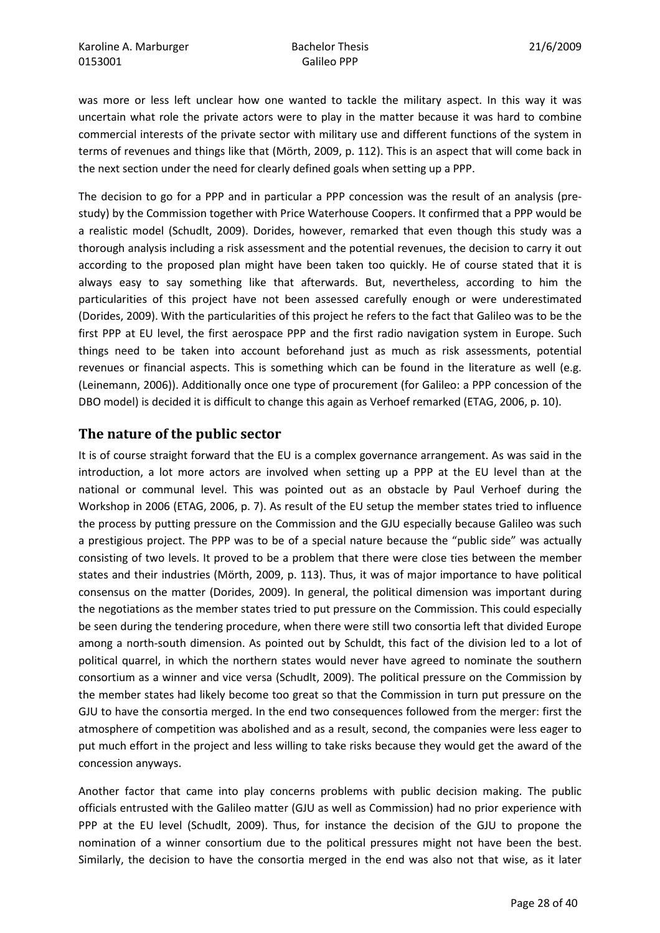was more or less left unclear how one wanted to tackle the military aspect. In this way it was uncertain what role the private actors were to play in the matter because it was hard to combine commercial interests of the private sector with military use and different functions of the system in terms of revenues and things like that (Mörth, 2009, p. 112). This is an aspect that will come back in the next section under the need for clearly defined goals when setting up a PPP.

The decision to go for a PPP and in particular a PPP concession was the result of an analysis (prestudy) by the Commission together with Price Waterhouse Coopers. It confirmed that a PPP would be a realistic model (Schudlt, 2009). Dorides, however, remarked that even though this study was a thorough analysis including a risk assessment and the potential revenues, the decision to carry it out according to the proposed plan might have been taken too quickly. He of course stated that it is always easy to say something like that afterwards. But, nevertheless, according to him the particularities of this project have not been assessed carefully enough or were underestimated (Dorides, 2009). With the particularities of this project he refers to the fact that Galileo was to be the first PPP at EU level, the first aerospace PPP and the first radio navigation system in Europe. Such things need to be taken into account beforehand just as much as risk assessments, potential revenues or financial aspects. This is something which can be found in the literature as well (e.g. (Leinemann, 2006)). Additionally once one type of procurement (for Galileo: a PPP concession of the DBO model) is decided it is difficult to change this again as Verhoef remarked (ETAG, 2006, p. 10).

## The nature of the public sector

It is of course straight forward that the EU is a complex governance arrangement. As was said in the introduction, a lot more actors are involved when setting up a PPP at the EU level than at the national or communal level. This was pointed out as an obstacle by Paul Verhoef during the Workshop in 2006 (ETAG, 2006, p. 7). As result of the EU setup the member states tried to influence the process by putting pressure on the Commission and the GJU especially because Galileo was such a prestigious project. The PPP was to be of a special nature because the "public side" was actually consisting of two levels. It proved to be a problem that there were close ties between the member states and their industries (Mörth, 2009, p. 113). Thus, it was of major importance to have political consensus on the matter (Dorides, 2009). In general, the political dimension was important during the negotiations as the member states tried to put pressure on the Commission. This could especially be seen during the tendering procedure, when there were still two consortia left that divided Europe among a north-south dimension. As pointed out by Schuldt, this fact of the division led to a lot of political quarrel, in which the northern states would never have agreed to nominate the southern consortium as a winner and vice versa (Schudlt, 2009). The political pressure on the Commission by the member states had likely become too great so that the Commission in turn put pressure on the GJU to have the consortia merged. In the end two consequences followed from the merger: first the atmosphere of competition was abolished and as a result, second, the companies were less eager to put much effort in the project and less willing to take risks because they would get the award of the concession anyways.

Another factor that came into play concerns problems with public decision making. The public officials entrusted with the Galileo matter (GJU as well as Commission) had no prior experience with PPP at the EU level (Schudlt, 2009). Thus, for instance the decision of the GJU to propone the nomination of a winner consortium due to the political pressures might not have been the best. Similarly, the decision to have the consortia merged in the end was also not that wise, as it later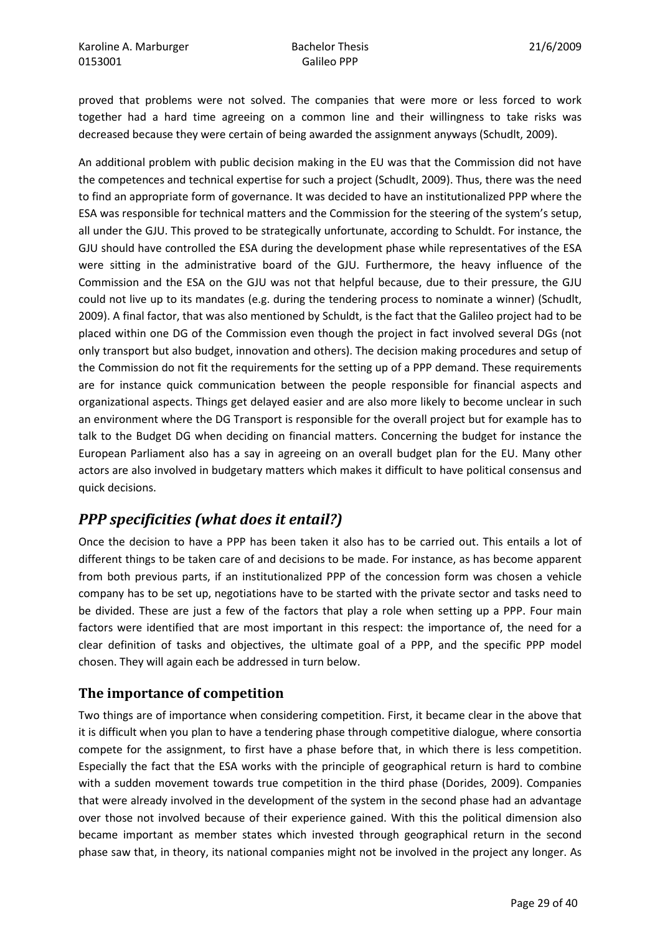proved that problems were not solved. The companies that were more or less forced to work together had a hard time agreeing on a common line and their willingness to take risks was decreased because they were certain of being awarded the assignment anyways (Schudlt, 2009).

An additional problem with public decision making in the EU was that the Commission did not have the competences and technical expertise for such a project (Schudlt, 2009). Thus, there was the need to find an appropriate form of governance. It was decided to have an institutionalized PPP where the ESA was responsible for technical matters and the Commission for the steering of the system's setup, all under the GJU. This proved to be strategically unfortunate, according to Schuldt. For instance, the GJU should have controlled the ESA during the development phase while representatives of the ESA were sitting in the administrative board of the GJU. Furthermore, the heavy influence of the Commission and the ESA on the GJU was not that helpful because, due to their pressure, the GJU could not live up to its mandates (e.g. during the tendering process to nominate a winner) (Schudlt, 2009). A final factor, that was also mentioned by Schuldt, is the fact that the Galileo project had to be placed within one DG of the Commission even though the project in fact involved several DGs (not only transport but also budget, innovation and others). The decision making procedures and setup of the Commission do not fit the requirements for the setting up of a PPP demand. These requirements are for instance quick communication between the people responsible for financial aspects and organizational aspects. Things get delayed easier and are also more likely to become unclear in such an environment where the DG Transport is responsible for the overall project but for example has to talk to the Budget DG when deciding on financial matters. Concerning the budget for instance the European Parliament also has a say in agreeing on an overall budget plan for the EU. Many other actors are also involved in budgetary matters which makes it difficult to have political consensus and quick decisions.

# PPP specificities (what does it entail?)

Once the decision to have a PPP has been taken it also has to be carried out. This entails a lot of different things to be taken care of and decisions to be made. For instance, as has become apparent from both previous parts, if an institutionalized PPP of the concession form was chosen a vehicle company has to be set up, negotiations have to be started with the private sector and tasks need to be divided. These are just a few of the factors that play a role when setting up a PPP. Four main factors were identified that are most important in this respect: the importance of, the need for a clear definition of tasks and objectives, the ultimate goal of a PPP, and the specific PPP model chosen. They will again each be addressed in turn below.

## The importance of competition

Two things are of importance when considering competition. First, it became clear in the above that it is difficult when you plan to have a tendering phase through competitive dialogue, where consortia compete for the assignment, to first have a phase before that, in which there is less competition. Especially the fact that the ESA works with the principle of geographical return is hard to combine with a sudden movement towards true competition in the third phase (Dorides, 2009). Companies that were already involved in the development of the system in the second phase had an advantage over those not involved because of their experience gained. With this the political dimension also became important as member states which invested through geographical return in the second phase saw that, in theory, its national companies might not be involved in the project any longer. As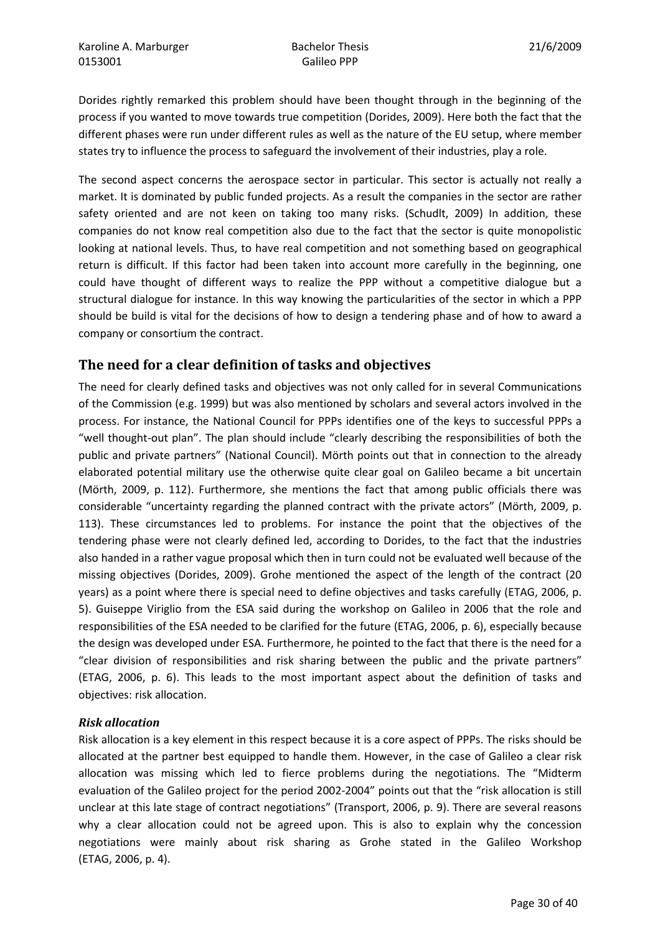Dorides rightly remarked this problem should have been thought through in the beginning of the process if you wanted to move towards true competition (Dorides, 2009). Here both the fact that the different phases were run under different rules as well as the nature of the EU setup, where member states try to influence the process to safeguard the involvement of their industries, play a role.

The second aspect concerns the aerospace sector in particular. This sector is actually not really a market. It is dominated by public funded projects. As a result the companies in the sector are rather safety oriented and are not keen on taking too many risks. (Schudlt, 2009) In addition, these companies do not know real competition also due to the fact that the sector is quite monopolistic looking at national levels. Thus, to have real competition and not something based on geographical return is difficult. If this factor had been taken into account more carefully in the beginning, one could have thought of different ways to realize the PPP without a competitive dialogue but a structural dialogue for instance. In this way knowing the particularities of the sector in which a PPP should be build is vital for the decisions of how to design a tendering phase and of how to award a company or consortium the contract.

## The need for a clear definition of tasks and objectives

The need for clearly defined tasks and objectives was not only called for in several Communications of the Commission (e.g. 1999) but was also mentioned by scholars and several actors involved in the process. For instance, the National Council for PPPs identifies one of the keys to successful PPPs a "well thought-out plan". The plan should include "clearly describing the responsibilities of both the public and private partners" (National Council). Mörth points out that in connection to the already elaborated potential military use the otherwise quite clear goal on Galileo became a bit uncertain (Mörth, 2009, p. 112). Furthermore, she mentions the fact that among public officials there was considerable "uncertainty regarding the planned contract with the private actors" (Mörth, 2009, p. 113). These circumstances led to problems. For instance the point that the objectives of the tendering phase were not clearly defined led, according to Dorides, to the fact that the industries also handed in a rather vague proposal which then in turn could not be evaluated well because of the missing objectives (Dorides, 2009). Grohe mentioned the aspect of the length of the contract (20 years) as a point where there is special need to define objectives and tasks carefully (ETAG, 2006, p. 5). Guiseppe Viriglio from the ESA said during the workshop on Galileo in 2006 that the role and responsibilities of the ESA needed to be clarified for the future (ETAG, 2006, p. 6), especially because the design was developed under ESA. Furthermore, he pointed to the fact that there is the need for a "clear division of responsibilities and risk sharing between the public and the private partners" (ETAG, 2006, p. 6). This leads to the most important aspect about the definition of tasks and objectives: risk allocation.

#### Risk allocation

Risk allocation is a key element in this respect because it is a core aspect of PPPs. The risks should be allocated at the partner best equipped to handle them. However, in the case of Galileo a clear risk allocation was missing which led to fierce problems during the negotiations. The "Midterm evaluation of the Galileo project for the period 2002-2004" points out that the "risk allocation is still unclear at this late stage of contract negotiations" (Transport, 2006, p. 9). There are several reasons why a clear allocation could not be agreed upon. This is also to explain why the concession negotiations were mainly about risk sharing as Grohe stated in the Galileo Workshop (ETAG, 2006, p. 4).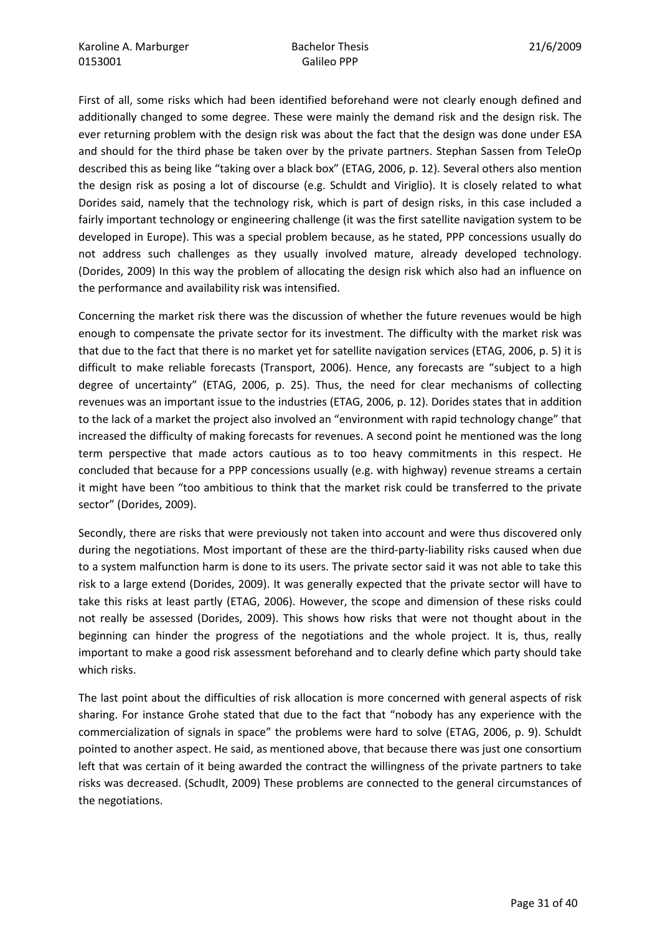First of all, some risks which had been identified beforehand were not clearly enough defined and additionally changed to some degree. These were mainly the demand risk and the design risk. The ever returning problem with the design risk was about the fact that the design was done under ESA and should for the third phase be taken over by the private partners. Stephan Sassen from TeleOp described this as being like "taking over a black box" (ETAG, 2006, p. 12). Several others also mention the design risk as posing a lot of discourse (e.g. Schuldt and Viriglio). It is closely related to what Dorides said, namely that the technology risk, which is part of design risks, in this case included a fairly important technology or engineering challenge (it was the first satellite navigation system to be developed in Europe). This was a special problem because, as he stated, PPP concessions usually do not address such challenges as they usually involved mature, already developed technology. (Dorides, 2009) In this way the problem of allocating the design risk which also had an influence on the performance and availability risk was intensified.

Concerning the market risk there was the discussion of whether the future revenues would be high enough to compensate the private sector for its investment. The difficulty with the market risk was that due to the fact that there is no market yet for satellite navigation services (ETAG, 2006, p. 5) it is difficult to make reliable forecasts (Transport, 2006). Hence, any forecasts are "subject to a high degree of uncertainty" (ETAG, 2006, p. 25). Thus, the need for clear mechanisms of collecting revenues was an important issue to the industries (ETAG, 2006, p. 12). Dorides states that in addition to the lack of a market the project also involved an "environment with rapid technology change" that increased the difficulty of making forecasts for revenues. A second point he mentioned was the long term perspective that made actors cautious as to too heavy commitments in this respect. He concluded that because for a PPP concessions usually (e.g. with highway) revenue streams a certain it might have been "too ambitious to think that the market risk could be transferred to the private sector" (Dorides, 2009).

Secondly, there are risks that were previously not taken into account and were thus discovered only during the negotiations. Most important of these are the third-party-liability risks caused when due to a system malfunction harm is done to its users. The private sector said it was not able to take this risk to a large extend (Dorides, 2009). It was generally expected that the private sector will have to take this risks at least partly (ETAG, 2006). However, the scope and dimension of these risks could not really be assessed (Dorides, 2009). This shows how risks that were not thought about in the beginning can hinder the progress of the negotiations and the whole project. It is, thus, really important to make a good risk assessment beforehand and to clearly define which party should take which risks.

The last point about the difficulties of risk allocation is more concerned with general aspects of risk sharing. For instance Grohe stated that due to the fact that "nobody has any experience with the commercialization of signals in space" the problems were hard to solve (ETAG, 2006, p. 9). Schuldt pointed to another aspect. He said, as mentioned above, that because there was just one consortium left that was certain of it being awarded the contract the willingness of the private partners to take risks was decreased. (Schudlt, 2009) These problems are connected to the general circumstances of the negotiations.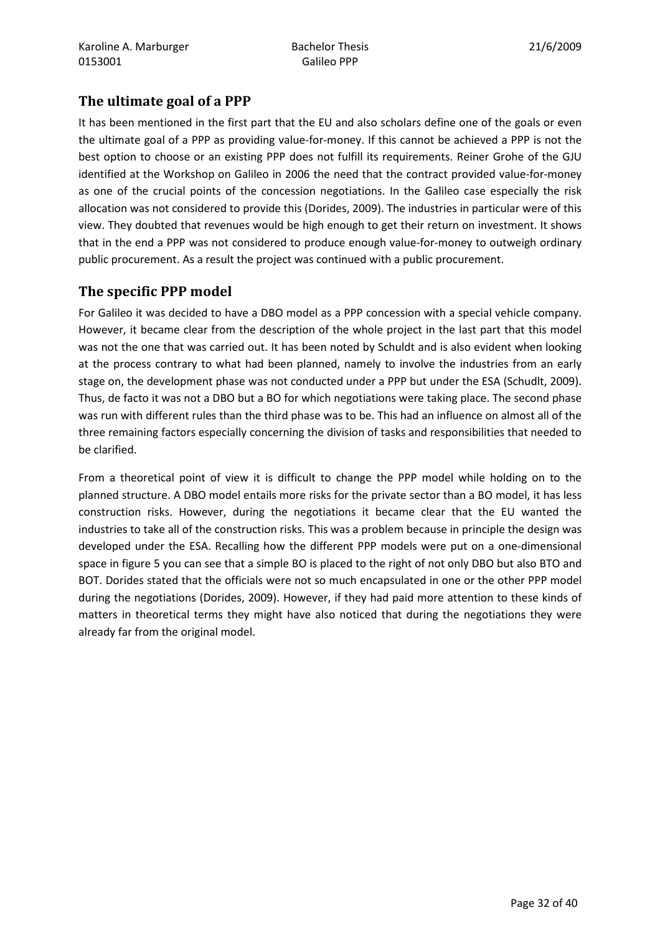## The ultimate goal of a PPP

It has been mentioned in the first part that the EU and also scholars define one of the goals or even the ultimate goal of a PPP as providing value-for-money. If this cannot be achieved a PPP is not the best option to choose or an existing PPP does not fulfill its requirements. Reiner Grohe of the GJU identified at the Workshop on Galileo in 2006 the need that the contract provided value-for-money as one of the crucial points of the concession negotiations. In the Galileo case especially the risk allocation was not considered to provide this (Dorides, 2009). The industries in particular were of this view. They doubted that revenues would be high enough to get their return on investment. It shows that in the end a PPP was not considered to produce enough value-for-money to outweigh ordinary public procurement. As a result the project was continued with a public procurement.

## The specific PPP model

For Galileo it was decided to have a DBO model as a PPP concession with a special vehicle company. However, it became clear from the description of the whole project in the last part that this model was not the one that was carried out. It has been noted by Schuldt and is also evident when looking at the process contrary to what had been planned, namely to involve the industries from an early stage on, the development phase was not conducted under a PPP but under the ESA (Schudlt, 2009). Thus, de facto it was not a DBO but a BO for which negotiations were taking place. The second phase was run with different rules than the third phase was to be. This had an influence on almost all of the three remaining factors especially concerning the division of tasks and responsibilities that needed to be clarified.

From a theoretical point of view it is difficult to change the PPP model while holding on to the planned structure. A DBO model entails more risks for the private sector than a BO model, it has less construction risks. However, during the negotiations it became clear that the EU wanted the industries to take all of the construction risks. This was a problem because in principle the design was developed under the ESA. Recalling how the different PPP models were put on a one-dimensional space in figure 5 you can see that a simple BO is placed to the right of not only DBO but also BTO and BOT. Dorides stated that the officials were not so much encapsulated in one or the other PPP model during the negotiations (Dorides, 2009). However, if they had paid more attention to these kinds of matters in theoretical terms they might have also noticed that during the negotiations they were already far from the original model.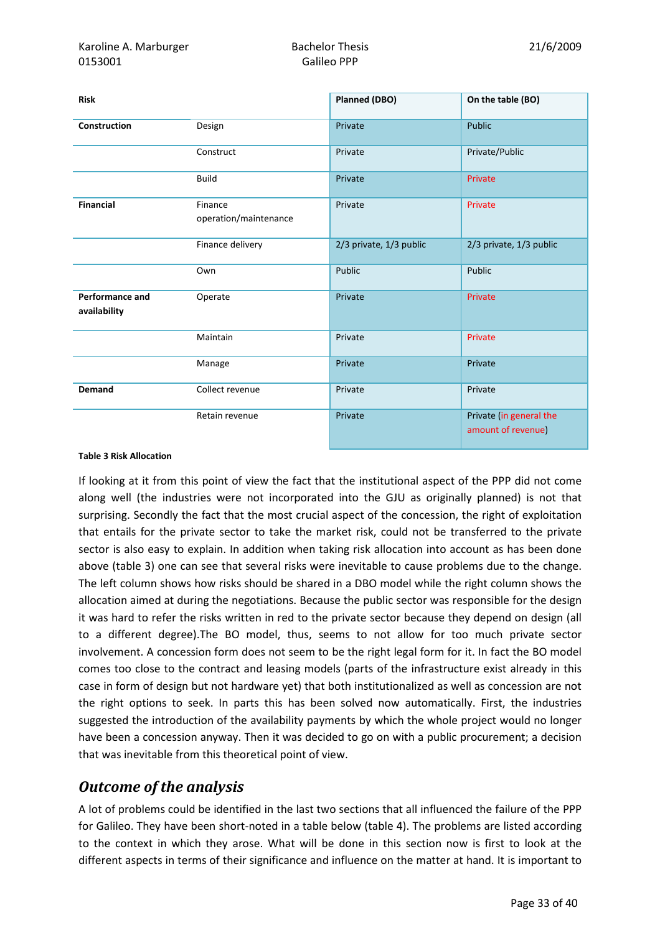| <b>Risk</b>                            |                                  | <b>Planned (DBO)</b>    | On the table (BO)                             |
|----------------------------------------|----------------------------------|-------------------------|-----------------------------------------------|
| Construction                           | Design                           | Private                 | Public                                        |
|                                        | Construct                        | Private                 | Private/Public                                |
|                                        | <b>Build</b>                     | Private                 | Private                                       |
| <b>Financial</b>                       | Finance<br>operation/maintenance | Private                 | Private                                       |
|                                        | Finance delivery                 | 2/3 private, 1/3 public | 2/3 private, 1/3 public                       |
|                                        | Own                              | Public                  | Public                                        |
| <b>Performance and</b><br>availability | Operate                          | Private                 | Private                                       |
|                                        | Maintain                         | Private                 | Private                                       |
|                                        | Manage                           | Private                 | Private                                       |
| <b>Demand</b>                          | Collect revenue                  | Private                 | Private                                       |
|                                        | Retain revenue                   | Private                 | Private (in general the<br>amount of revenue) |

#### Table 3 Risk Allocation

If looking at it from this point of view the fact that the institutional aspect of the PPP did not come along well (the industries were not incorporated into the GJU as originally planned) is not that surprising. Secondly the fact that the most crucial aspect of the concession, the right of exploitation that entails for the private sector to take the market risk, could not be transferred to the private sector is also easy to explain. In addition when taking risk allocation into account as has been done above (table 3) one can see that several risks were inevitable to cause problems due to the change. The left column shows how risks should be shared in a DBO model while the right column shows the allocation aimed at during the negotiations. Because the public sector was responsible for the design it was hard to refer the risks written in red to the private sector because they depend on design (all to a different degree).The BO model, thus, seems to not allow for too much private sector involvement. A concession form does not seem to be the right legal form for it. In fact the BO model comes too close to the contract and leasing models (parts of the infrastructure exist already in this case in form of design but not hardware yet) that both institutionalized as well as concession are not the right options to seek. In parts this has been solved now automatically. First, the industries suggested the introduction of the availability payments by which the whole project would no longer have been a concession anyway. Then it was decided to go on with a public procurement; a decision that was inevitable from this theoretical point of view.

# Outcome of the analysis

A lot of problems could be identified in the last two sections that all influenced the failure of the PPP for Galileo. They have been short-noted in a table below (table 4). The problems are listed according to the context in which they arose. What will be done in this section now is first to look at the different aspects in terms of their significance and influence on the matter at hand. It is important to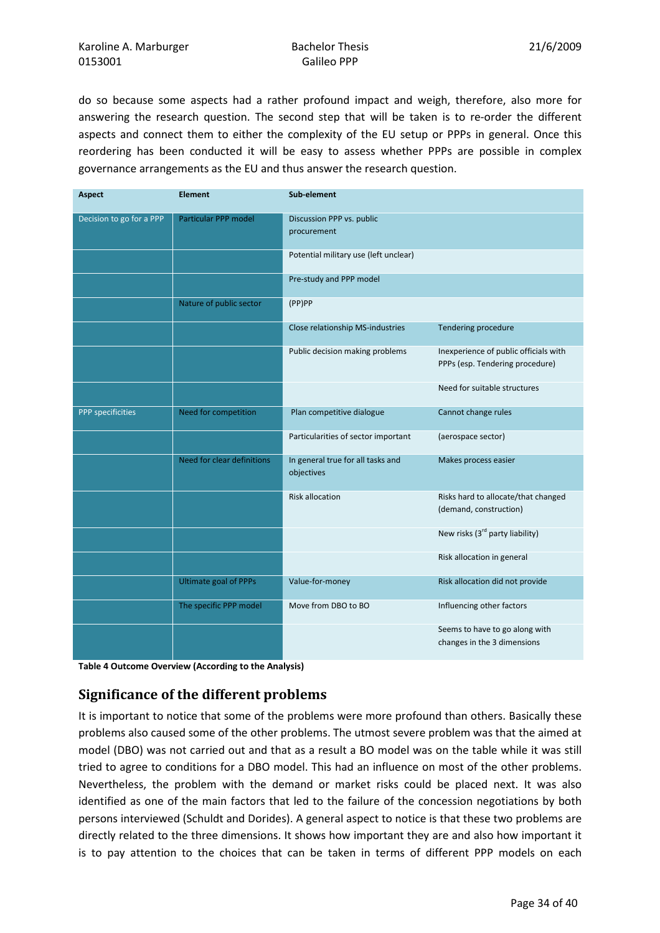do so because some aspects had a rather profound impact and weigh, therefore, also more for answering the research question. The second step that will be taken is to re-order the different aspects and connect them to either the complexity of the EU setup or PPPs in general. Once this reordering has been conducted it will be easy to assess whether PPPs are possible in complex governance arrangements as the EU and thus answer the research question.

| <b>Aspect</b>            | <b>Element</b>               | Sub-element                                     |                                                                          |
|--------------------------|------------------------------|-------------------------------------------------|--------------------------------------------------------------------------|
| Decision to go for a PPP | Particular PPP model         | Discussion PPP vs. public<br>procurement        |                                                                          |
|                          |                              | Potential military use (left unclear)           |                                                                          |
|                          |                              | Pre-study and PPP model                         |                                                                          |
|                          | Nature of public sector      | (PP)PP                                          |                                                                          |
|                          |                              | Close relationship MS-industries                | Tendering procedure                                                      |
|                          |                              | Public decision making problems                 | Inexperience of public officials with<br>PPPs (esp. Tendering procedure) |
|                          |                              |                                                 | Need for suitable structures                                             |
| PPP specificities        | Need for competition         | Plan competitive dialogue                       | Cannot change rules                                                      |
|                          |                              | Particularities of sector important             | (aerospace sector)                                                       |
|                          | Need for clear definitions   | In general true for all tasks and<br>objectives | Makes process easier                                                     |
|                          |                              | <b>Risk allocation</b>                          | Risks hard to allocate/that changed<br>(demand, construction)            |
|                          |                              |                                                 | New risks (3 <sup>rd</sup> party liability)                              |
|                          |                              |                                                 | Risk allocation in general                                               |
|                          | <b>Ultimate goal of PPPs</b> | Value-for-money                                 | Risk allocation did not provide                                          |
|                          | The specific PPP model       | Move from DBO to BO                             | Influencing other factors                                                |
|                          |                              |                                                 | Seems to have to go along with<br>changes in the 3 dimensions            |

Table 4 Outcome Overview (According to the Analysis)

## Significance of the different problems

It is important to notice that some of the problems were more profound than others. Basically these problems also caused some of the other problems. The utmost severe problem was that the aimed at model (DBO) was not carried out and that as a result a BO model was on the table while it was still tried to agree to conditions for a DBO model. This had an influence on most of the other problems. Nevertheless, the problem with the demand or market risks could be placed next. It was also identified as one of the main factors that led to the failure of the concession negotiations by both persons interviewed (Schuldt and Dorides). A general aspect to notice is that these two problems are directly related to the three dimensions. It shows how important they are and also how important it is to pay attention to the choices that can be taken in terms of different PPP models on each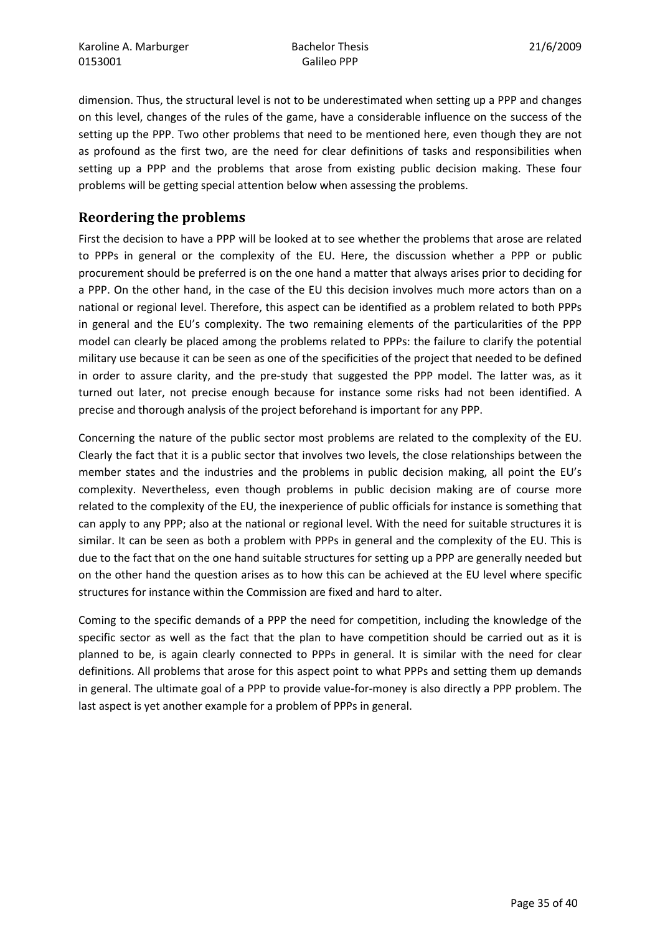dimension. Thus, the structural level is not to be underestimated when setting up a PPP and changes on this level, changes of the rules of the game, have a considerable influence on the success of the setting up the PPP. Two other problems that need to be mentioned here, even though they are not as profound as the first two, are the need for clear definitions of tasks and responsibilities when setting up a PPP and the problems that arose from existing public decision making. These four problems will be getting special attention below when assessing the problems.

## Reordering the problems

First the decision to have a PPP will be looked at to see whether the problems that arose are related to PPPs in general or the complexity of the EU. Here, the discussion whether a PPP or public procurement should be preferred is on the one hand a matter that always arises prior to deciding for a PPP. On the other hand, in the case of the EU this decision involves much more actors than on a national or regional level. Therefore, this aspect can be identified as a problem related to both PPPs in general and the EU's complexity. The two remaining elements of the particularities of the PPP model can clearly be placed among the problems related to PPPs: the failure to clarify the potential military use because it can be seen as one of the specificities of the project that needed to be defined in order to assure clarity, and the pre-study that suggested the PPP model. The latter was, as it turned out later, not precise enough because for instance some risks had not been identified. A precise and thorough analysis of the project beforehand is important for any PPP.

Concerning the nature of the public sector most problems are related to the complexity of the EU. Clearly the fact that it is a public sector that involves two levels, the close relationships between the member states and the industries and the problems in public decision making, all point the EU's complexity. Nevertheless, even though problems in public decision making are of course more related to the complexity of the EU, the inexperience of public officials for instance is something that can apply to any PPP; also at the national or regional level. With the need for suitable structures it is similar. It can be seen as both a problem with PPPs in general and the complexity of the EU. This is due to the fact that on the one hand suitable structures for setting up a PPP are generally needed but on the other hand the question arises as to how this can be achieved at the EU level where specific structures for instance within the Commission are fixed and hard to alter.

Coming to the specific demands of a PPP the need for competition, including the knowledge of the specific sector as well as the fact that the plan to have competition should be carried out as it is planned to be, is again clearly connected to PPPs in general. It is similar with the need for clear definitions. All problems that arose for this aspect point to what PPPs and setting them up demands in general. The ultimate goal of a PPP to provide value-for-money is also directly a PPP problem. The last aspect is yet another example for a problem of PPPs in general.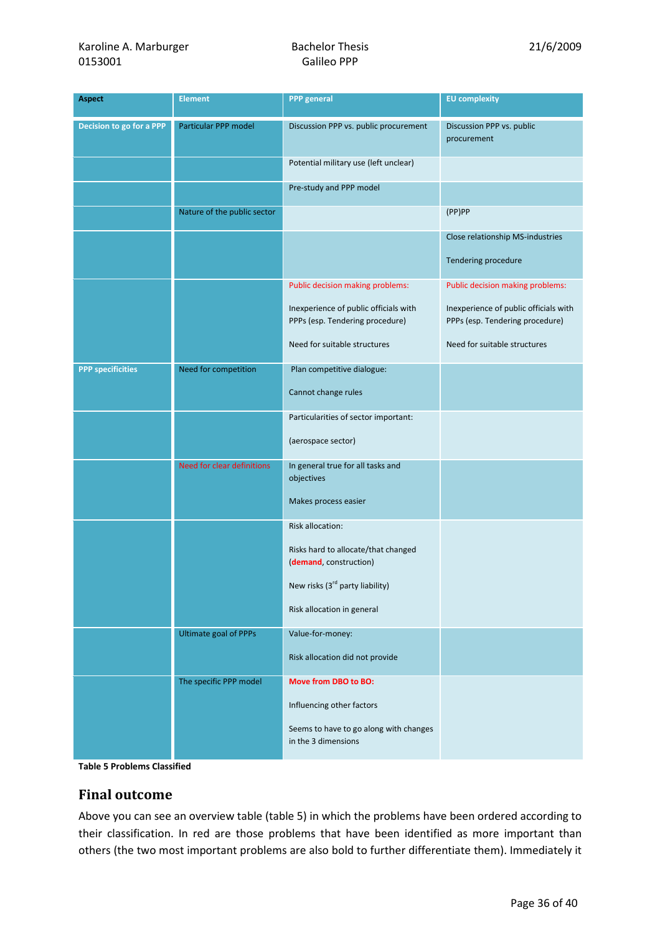| <b>Aspect</b>            | <b>Element</b>               | <b>PPP</b> general                                                       | <b>EU</b> complexity                                                     |
|--------------------------|------------------------------|--------------------------------------------------------------------------|--------------------------------------------------------------------------|
| Decision to go for a PPP | Particular PPP model         | Discussion PPP vs. public procurement                                    | Discussion PPP vs. public<br>procurement                                 |
|                          |                              | Potential military use (left unclear)                                    |                                                                          |
|                          |                              | Pre-study and PPP model                                                  |                                                                          |
|                          | Nature of the public sector  |                                                                          | (PP)PP                                                                   |
|                          |                              |                                                                          | Close relationship MS-industries<br>Tendering procedure                  |
|                          |                              | Public decision making problems:                                         | Public decision making problems:                                         |
|                          |                              | Inexperience of public officials with<br>PPPs (esp. Tendering procedure) | Inexperience of public officials with<br>PPPs (esp. Tendering procedure) |
|                          |                              | Need for suitable structures                                             | Need for suitable structures                                             |
| <b>PPP specificities</b> | Need for competition         | Plan competitive dialogue:                                               |                                                                          |
|                          |                              | Cannot change rules                                                      |                                                                          |
|                          |                              | Particularities of sector important:                                     |                                                                          |
|                          |                              | (aerospace sector)                                                       |                                                                          |
|                          | Need for clear definitions   | In general true for all tasks and<br>objectives                          |                                                                          |
|                          |                              | Makes process easier                                                     |                                                                          |
|                          |                              | <b>Risk allocation:</b>                                                  |                                                                          |
|                          |                              | Risks hard to allocate/that changed<br>(demand, construction)            |                                                                          |
|                          |                              | New risks (3 <sup>rd</sup> party liability)                              |                                                                          |
|                          |                              | Risk allocation in general                                               |                                                                          |
|                          | <b>Ultimate goal of PPPs</b> | Value-for-money:                                                         |                                                                          |
|                          |                              | Risk allocation did not provide                                          |                                                                          |
|                          | The specific PPP model       | Move from DBO to BO:                                                     |                                                                          |
|                          |                              | Influencing other factors                                                |                                                                          |
|                          |                              | Seems to have to go along with changes<br>in the 3 dimensions            |                                                                          |

Table 5 Problems Classified

#### Final outcome

Above you can see an overview table (table 5) in which the problems have been ordered according to their classification. In red are those problems that have been identified as more important than others (the two most important problems are also bold to further differentiate them). Immediately it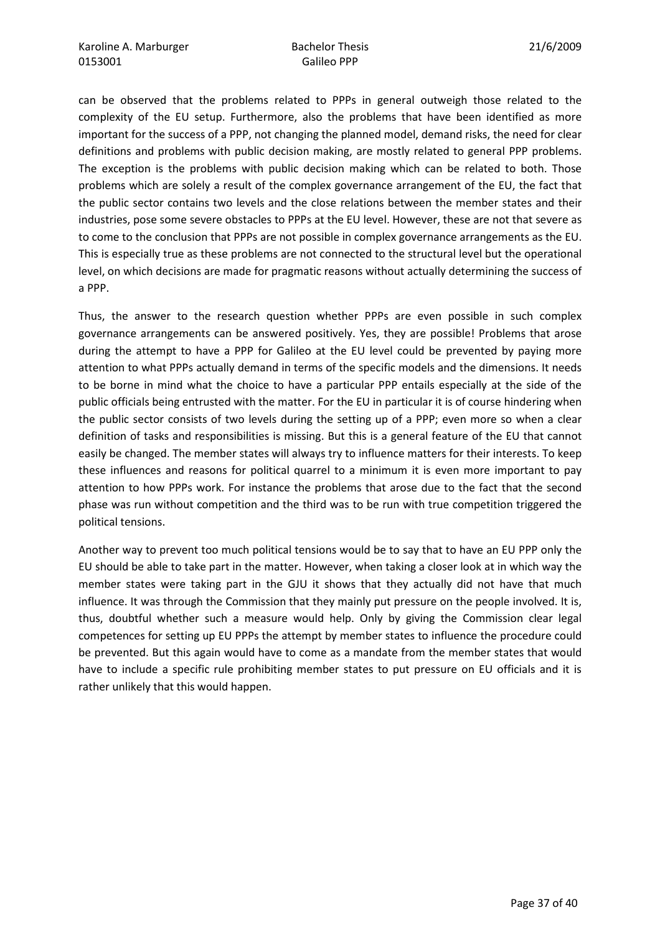can be observed that the problems related to PPPs in general outweigh those related to the complexity of the EU setup. Furthermore, also the problems that have been identified as more important for the success of a PPP, not changing the planned model, demand risks, the need for clear definitions and problems with public decision making, are mostly related to general PPP problems. The exception is the problems with public decision making which can be related to both. Those problems which are solely a result of the complex governance arrangement of the EU, the fact that the public sector contains two levels and the close relations between the member states and their industries, pose some severe obstacles to PPPs at the EU level. However, these are not that severe as to come to the conclusion that PPPs are not possible in complex governance arrangements as the EU. This is especially true as these problems are not connected to the structural level but the operational level, on which decisions are made for pragmatic reasons without actually determining the success of a PPP.

Thus, the answer to the research question whether PPPs are even possible in such complex governance arrangements can be answered positively. Yes, they are possible! Problems that arose during the attempt to have a PPP for Galileo at the EU level could be prevented by paying more attention to what PPPs actually demand in terms of the specific models and the dimensions. It needs to be borne in mind what the choice to have a particular PPP entails especially at the side of the public officials being entrusted with the matter. For the EU in particular it is of course hindering when the public sector consists of two levels during the setting up of a PPP; even more so when a clear definition of tasks and responsibilities is missing. But this is a general feature of the EU that cannot easily be changed. The member states will always try to influence matters for their interests. To keep these influences and reasons for political quarrel to a minimum it is even more important to pay attention to how PPPs work. For instance the problems that arose due to the fact that the second phase was run without competition and the third was to be run with true competition triggered the political tensions.

Another way to prevent too much political tensions would be to say that to have an EU PPP only the EU should be able to take part in the matter. However, when taking a closer look at in which way the member states were taking part in the GJU it shows that they actually did not have that much influence. It was through the Commission that they mainly put pressure on the people involved. It is, thus, doubtful whether such a measure would help. Only by giving the Commission clear legal competences for setting up EU PPPs the attempt by member states to influence the procedure could be prevented. But this again would have to come as a mandate from the member states that would have to include a specific rule prohibiting member states to put pressure on EU officials and it is rather unlikely that this would happen.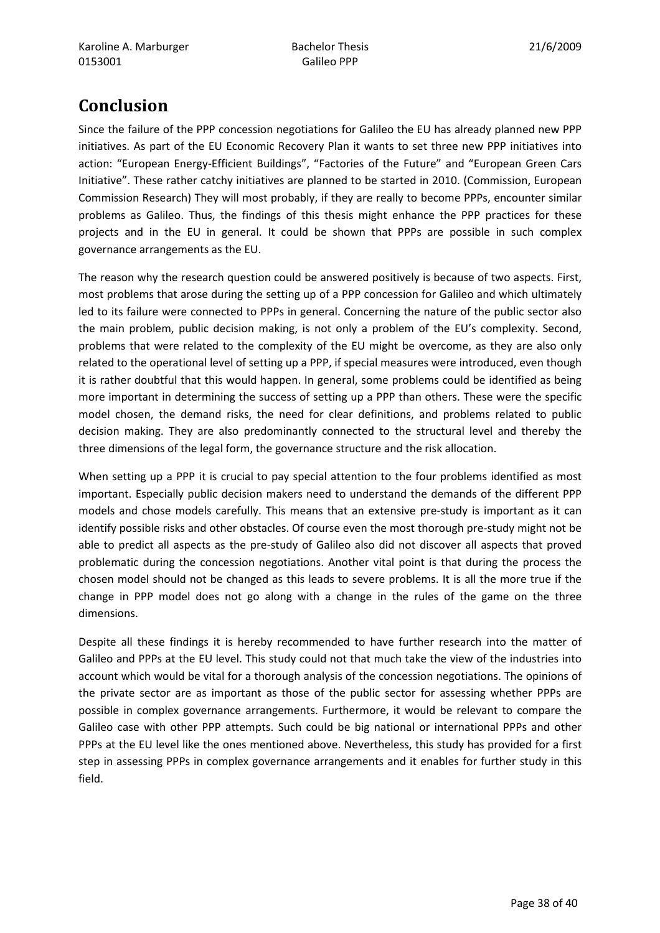# Conclusion

Since the failure of the PPP concession negotiations for Galileo the EU has already planned new PPP initiatives. As part of the EU Economic Recovery Plan it wants to set three new PPP initiatives into action: "European Energy-Efficient Buildings", "Factories of the Future" and "European Green Cars Initiative". These rather catchy initiatives are planned to be started in 2010. (Commission, European Commission Research) They will most probably, if they are really to become PPPs, encounter similar problems as Galileo. Thus, the findings of this thesis might enhance the PPP practices for these projects and in the EU in general. It could be shown that PPPs are possible in such complex governance arrangements as the EU.

The reason why the research question could be answered positively is because of two aspects. First, most problems that arose during the setting up of a PPP concession for Galileo and which ultimately led to its failure were connected to PPPs in general. Concerning the nature of the public sector also the main problem, public decision making, is not only a problem of the EU's complexity. Second, problems that were related to the complexity of the EU might be overcome, as they are also only related to the operational level of setting up a PPP, if special measures were introduced, even though it is rather doubtful that this would happen. In general, some problems could be identified as being more important in determining the success of setting up a PPP than others. These were the specific model chosen, the demand risks, the need for clear definitions, and problems related to public decision making. They are also predominantly connected to the structural level and thereby the three dimensions of the legal form, the governance structure and the risk allocation.

When setting up a PPP it is crucial to pay special attention to the four problems identified as most important. Especially public decision makers need to understand the demands of the different PPP models and chose models carefully. This means that an extensive pre-study is important as it can identify possible risks and other obstacles. Of course even the most thorough pre-study might not be able to predict all aspects as the pre-study of Galileo also did not discover all aspects that proved problematic during the concession negotiations. Another vital point is that during the process the chosen model should not be changed as this leads to severe problems. It is all the more true if the change in PPP model does not go along with a change in the rules of the game on the three dimensions.

Despite all these findings it is hereby recommended to have further research into the matter of Galileo and PPPs at the EU level. This study could not that much take the view of the industries into account which would be vital for a thorough analysis of the concession negotiations. The opinions of the private sector are as important as those of the public sector for assessing whether PPPs are possible in complex governance arrangements. Furthermore, it would be relevant to compare the Galileo case with other PPP attempts. Such could be big national or international PPPs and other PPPs at the EU level like the ones mentioned above. Nevertheless, this study has provided for a first step in assessing PPPs in complex governance arrangements and it enables for further study in this field.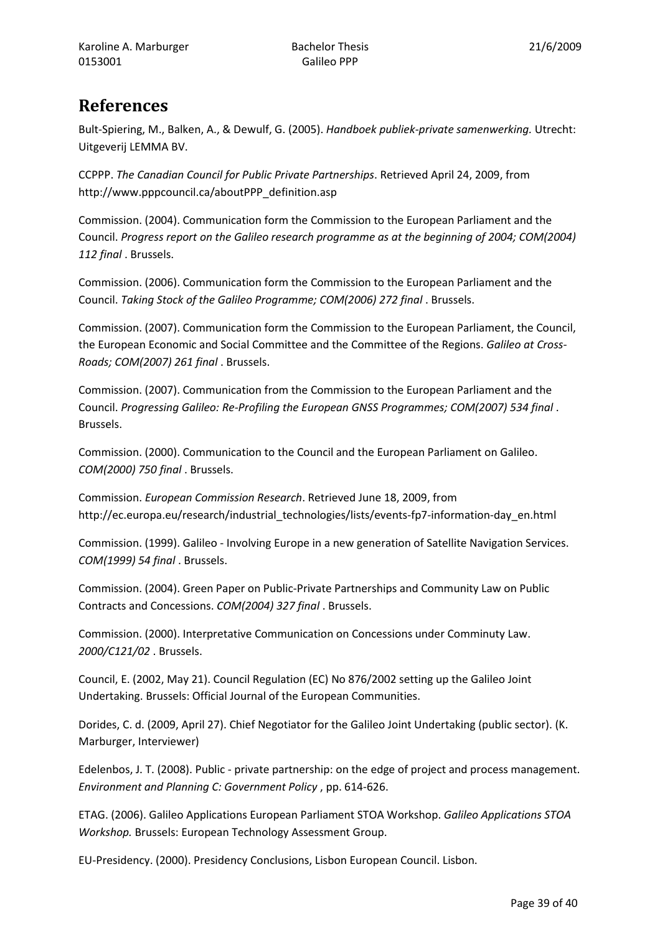# **References**

Bult-Spiering, M., Balken, A., & Dewulf, G. (2005). Handboek publiek-private samenwerking. Utrecht: Uitgeverij LEMMA BV.

CCPPP. The Canadian Council for Public Private Partnerships. Retrieved April 24, 2009, from http://www.pppcouncil.ca/aboutPPP\_definition.asp

Commission. (2004). Communication form the Commission to the European Parliament and the Council. Progress report on the Galileo research programme as at the beginning of 2004; COM(2004) 112 final . Brussels.

Commission. (2006). Communication form the Commission to the European Parliament and the Council. Taking Stock of the Galileo Programme; COM(2006) 272 final . Brussels.

Commission. (2007). Communication form the Commission to the European Parliament, the Council, the European Economic and Social Committee and the Committee of the Regions. Galileo at Cross-Roads; COM(2007) 261 final . Brussels.

Commission. (2007). Communication from the Commission to the European Parliament and the Council. Progressing Galileo: Re-Profiling the European GNSS Programmes; COM(2007) 534 final . Brussels.

Commission. (2000). Communication to the Council and the European Parliament on Galileo. COM(2000) 750 final . Brussels.

Commission. European Commission Research. Retrieved June 18, 2009, from http://ec.europa.eu/research/industrial\_technologies/lists/events-fp7-information-day\_en.html

Commission. (1999). Galileo - Involving Europe in a new generation of Satellite Navigation Services. COM(1999) 54 final . Brussels.

Commission. (2004). Green Paper on Public-Private Partnerships and Community Law on Public Contracts and Concessions. COM(2004) 327 final . Brussels.

Commission. (2000). Interpretative Communication on Concessions under Comminuty Law. 2000/C121/02 . Brussels.

Council, E. (2002, May 21). Council Regulation (EC) No 876/2002 setting up the Galileo Joint Undertaking. Brussels: Official Journal of the European Communities.

Dorides, C. d. (2009, April 27). Chief Negotiator for the Galileo Joint Undertaking (public sector). (K. Marburger, Interviewer)

Edelenbos, J. T. (2008). Public - private partnership: on the edge of project and process management. Environment and Planning C: Government Policy , pp. 614-626.

ETAG. (2006). Galileo Applications European Parliament STOA Workshop. Galileo Applications STOA Workshop. Brussels: European Technology Assessment Group.

EU-Presidency. (2000). Presidency Conclusions, Lisbon European Council. Lisbon.